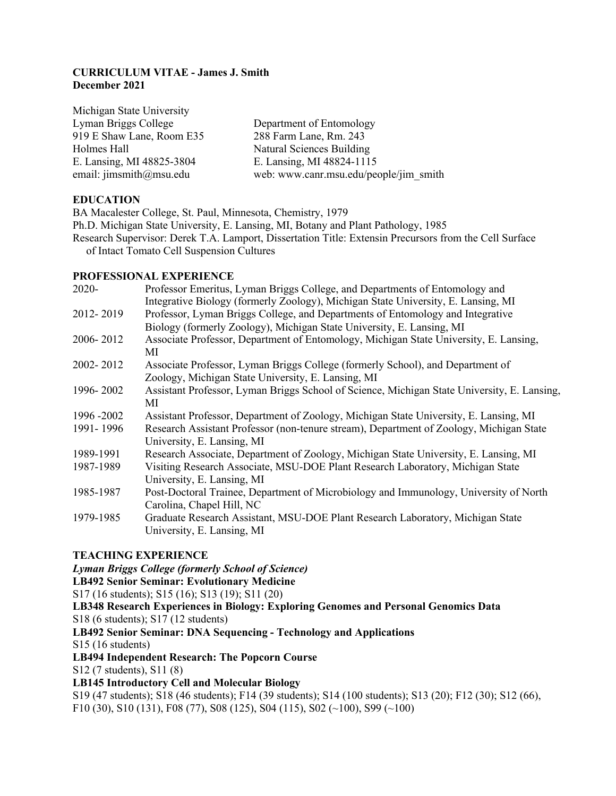### **CURRICULUM VITAE - James J. Smith December 2021**

Michigan State University Lyman Briggs College Department of Entomology 919 E Shaw Lane, Room E35 288 Farm Lane, Rm. 243 Holmes Hall Natural Sciences Building E. Lansing, MI 48825-3804 E. Lansing, MI 48824-1115

email: jimsmith@msu.edu web: www.canr.msu.edu/people/jim\_smith

## **EDUCATION**

BA Macalester College, St. Paul, Minnesota, Chemistry, 1979 Ph.D. Michigan State University, E. Lansing, MI, Botany and Plant Pathology, 1985 Research Supervisor: Derek T.A. Lamport, Dissertation Title: Extensin Precursors from the Cell Surface of Intact Tomato Cell Suspension Cultures

## **PROFESSIONAL EXPERIENCE**

| 2020-       | Professor Emeritus, Lyman Briggs College, and Departments of Entomology and                 |
|-------------|---------------------------------------------------------------------------------------------|
|             | Integrative Biology (formerly Zoology), Michigan State University, E. Lansing, MI           |
| 2012-2019   | Professor, Lyman Briggs College, and Departments of Entomology and Integrative              |
|             | Biology (formerly Zoology), Michigan State University, E. Lansing, MI                       |
| 2006-2012   | Associate Professor, Department of Entomology, Michigan State University, E. Lansing,       |
|             | МI                                                                                          |
| 2002-2012   | Associate Professor, Lyman Briggs College (formerly School), and Department of              |
|             | Zoology, Michigan State University, E. Lansing, MI                                          |
| 1996-2002   | Assistant Professor, Lyman Briggs School of Science, Michigan State University, E. Lansing, |
|             | МI                                                                                          |
| 1996 - 2002 | Assistant Professor, Department of Zoology, Michigan State University, E. Lansing, MI       |
| 1991-1996   | Research Assistant Professor (non-tenure stream), Department of Zoology, Michigan State     |
|             | University, E. Lansing, MI                                                                  |
| 1989-1991   | Research Associate, Department of Zoology, Michigan State University, E. Lansing, MI        |
| 1987-1989   | Visiting Research Associate, MSU-DOE Plant Research Laboratory, Michigan State              |
|             | University, E. Lansing, MI                                                                  |
| 1985-1987   | Post-Doctoral Trainee, Department of Microbiology and Immunology, University of North       |
|             | Carolina, Chapel Hill, NC                                                                   |
| 1979-1985   | Graduate Research Assistant, MSU-DOE Plant Research Laboratory, Michigan State              |
|             | University, E. Lansing, MI                                                                  |

## **TEACHING EXPERIENCE**

*Lyman Briggs College (formerly School of Science)*

**LB492 Senior Seminar: Evolutionary Medicine**

S17 (16 students); S15 (16); S13 (19); S11 (20)

**LB348 Research Experiences in Biology: Exploring Genomes and Personal Genomics Data**

S18 (6 students); S17 (12 students)

## **LB492 Senior Seminar: DNA Sequencing - Technology and Applications**

S15 (16 students)

## **LB494 Independent Research: The Popcorn Course**

S12 (7 students), S11 (8)

## **LB145 Introductory Cell and Molecular Biology**

S19 (47 students); S18 (46 students); F14 (39 students); S14 (100 students); S13 (20); F12 (30); S12 (66), F10 (30), S10 (131), F08 (77), S08 (125), S04 (115), S02 (~100), S99 (~100)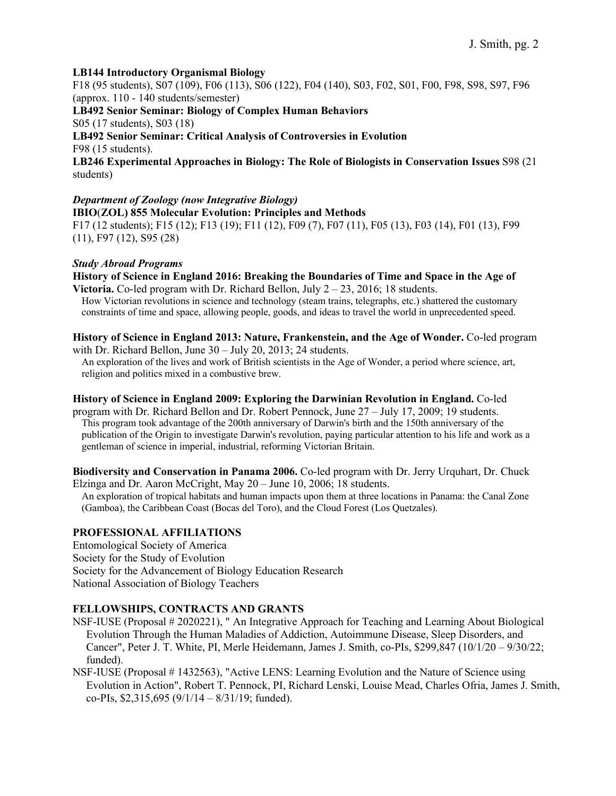### **LB144 Introductory Organismal Biology**

F18 (95 students), S07 (109), F06 (113), S06 (122), F04 (140), S03, F02, S01, F00, F98, S98, S97, F96 (approx. 110 - 140 students/semester)

**LB492 Senior Seminar: Biology of Complex Human Behaviors**

S05 (17 students), S03 (18)

# **LB492 Senior Seminar: Critical Analysis of Controversies in Evolution**

F98 (15 students).

**LB246 Experimental Approaches in Biology: The Role of Biologists in Conservation Issues** S98 (21 students)

## *Department of Zoology (now Integrative Biology)*

**IBIO**(**ZOL) 855 Molecular Evolution: Principles and Methods** F17 (12 students); F15 (12); F13 (19); F11 (12), F09 (7), F07 (11), F05 (13), F03 (14), F01 (13), F99 (11), F97 (12), S95 (28)

#### *Study Abroad Programs*

**History of Science in England 2016: Breaking the Boundaries of Time and Space in the Age of Victoria.** Co-led program with Dr. Richard Bellon, July  $2 - 23$ , 2016; 18 students.

How Victorian revolutions in science and technology (steam trains, telegraphs, etc.) shattered the customary constraints of time and space, allowing people, goods, and ideas to travel the world in unprecedented speed.

#### **History of Science in England 2013: Nature, Frankenstein, and the Age of Wonder.** Co-led program with Dr. Richard Bellon, June 30 – July 20, 2013; 24 students.

An exploration of the lives and work of British scientists in the Age of Wonder, a period where science, art, religion and politics mixed in a combustive brew.

#### **History of Science in England 2009: Exploring the Darwinian Revolution in England.** Co-led

program with Dr. Richard Bellon and Dr. Robert Pennock, June 27 – July 17, 2009; 19 students. This program took advantage of the 200th anniversary of Darwin's birth and the 150th anniversary of the publication of the Origin to investigate Darwin's revolution, paying particular attention to his life and work as a gentleman of science in imperial, industrial, reforming Victorian Britain.

#### **Biodiversity and Conservation in Panama 2006.** Co-led program with Dr. Jerry Urquhart, Dr. Chuck Elzinga and Dr. Aaron McCright, May 20 – June 10, 2006; 18 students.

An exploration of tropical habitats and human impacts upon them at three locations in Panama: the Canal Zone (Gamboa), the Caribbean Coast (Bocas del Toro), and the Cloud Forest (Los Quetzales).

## **PROFESSIONAL AFFILIATIONS**

Entomological Society of America Society for the Study of Evolution Society for the Advancement of Biology Education Research National Association of Biology Teachers

#### **FELLOWSHIPS, CONTRACTS AND GRANTS**

- NSF-IUSE (Proposal # 2020221), " An Integrative Approach for Teaching and Learning About Biological Evolution Through the Human Maladies of Addiction, Autoimmune Disease, Sleep Disorders, and Cancer", Peter J. T. White, PI, Merle Heidemann, James J. Smith, co-PIs, \$299,847 (10/1/20 – 9/30/22; funded).
- NSF-IUSE (Proposal # 1432563), "Active LENS: Learning Evolution and the Nature of Science using Evolution in Action", Robert T. Pennock, PI, Richard Lenski, Louise Mead, Charles Ofria, James J. Smith, co-PIs,  $$2,315,695 (9/1/14 - 8/31/19;$  funded).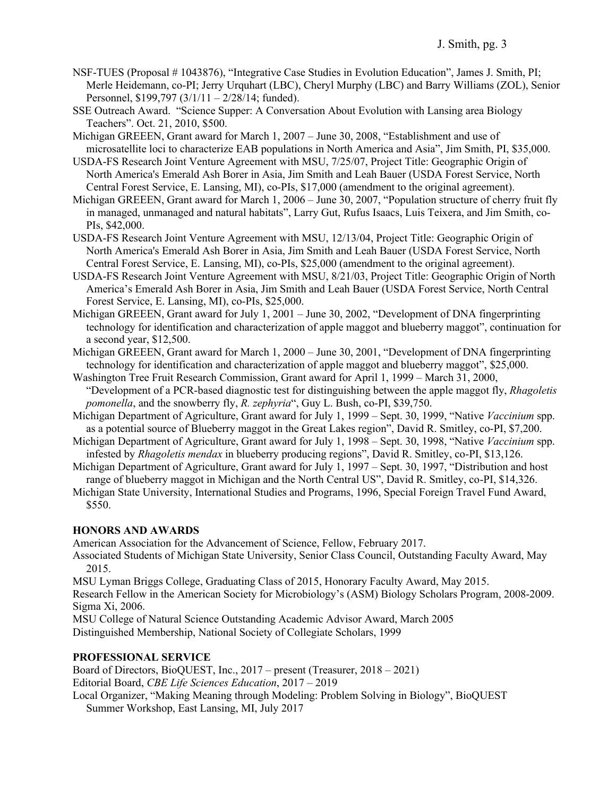- NSF-TUES (Proposal # 1043876), "Integrative Case Studies in Evolution Education", James J. Smith, PI; Merle Heidemann, co-PI; Jerry Urquhart (LBC), Cheryl Murphy (LBC) and Barry Williams (ZOL), Senior Personnel, \$199,797 (3/1/11 – 2/28/14; funded).
- SSE Outreach Award. "Science Supper: A Conversation About Evolution with Lansing area Biology Teachers". Oct. 21, 2010, \$500.
- Michigan GREEEN, Grant award for March 1, 2007 June 30, 2008, "Establishment and use of microsatellite loci to characterize EAB populations in North America and Asia", Jim Smith, PI, \$35,000.
- USDA-FS Research Joint Venture Agreement with MSU, 7/25/07, Project Title: Geographic Origin of North America's Emerald Ash Borer in Asia, Jim Smith and Leah Bauer (USDA Forest Service, North Central Forest Service, E. Lansing, MI), co-PIs, \$17,000 (amendment to the original agreement).
- Michigan GREEEN, Grant award for March 1, 2006 June 30, 2007, "Population structure of cherry fruit fly in managed, unmanaged and natural habitats", Larry Gut, Rufus Isaacs, Luis Teixera, and Jim Smith, co-PIs, \$42,000.
- USDA-FS Research Joint Venture Agreement with MSU, 12/13/04, Project Title: Geographic Origin of North America's Emerald Ash Borer in Asia, Jim Smith and Leah Bauer (USDA Forest Service, North Central Forest Service, E. Lansing, MI), co-PIs, \$25,000 (amendment to the original agreement).
- USDA-FS Research Joint Venture Agreement with MSU, 8/21/03, Project Title: Geographic Origin of North America's Emerald Ash Borer in Asia, Jim Smith and Leah Bauer (USDA Forest Service, North Central Forest Service, E. Lansing, MI), co-PIs, \$25,000.
- Michigan GREEEN, Grant award for July 1, 2001 June 30, 2002, "Development of DNA fingerprinting technology for identification and characterization of apple maggot and blueberry maggot", continuation for a second year, \$12,500.
- Michigan GREEEN, Grant award for March 1, 2000 June 30, 2001, "Development of DNA fingerprinting technology for identification and characterization of apple maggot and blueberry maggot", \$25,000.
- Washington Tree Fruit Research Commission, Grant award for April 1, 1999 March 31, 2000, "Development of a PCR-based diagnostic test for distinguishing between the apple maggot fly, *Rhagoletis pomonella*, and the snowberry fly, *R. zephyria*", Guy L. Bush, co-PI, \$39,750.
- Michigan Department of Agriculture, Grant award for July 1, 1999 Sept. 30, 1999, "Native *Vaccinium* spp. as a potential source of Blueberry maggot in the Great Lakes region", David R. Smitley, co-PI, \$7,200.
- Michigan Department of Agriculture, Grant award for July 1, 1998 Sept. 30, 1998, "Native *Vaccinium* spp. infested by *Rhagoletis mendax* in blueberry producing regions", David R. Smitley, co-PI, \$13,126.
- Michigan Department of Agriculture, Grant award for July 1, 1997 Sept. 30, 1997, "Distribution and host range of blueberry maggot in Michigan and the North Central US", David R. Smitley, co-PI, \$14,326.
- Michigan State University, International Studies and Programs, 1996, Special Foreign Travel Fund Award, \$550.

## **HONORS AND AWARDS**

American Association for the Advancement of Science, Fellow, February 2017.

Associated Students of Michigan State University, Senior Class Council, Outstanding Faculty Award, May 2015.

MSU Lyman Briggs College, Graduating Class of 2015, Honorary Faculty Award, May 2015.

Research Fellow in the American Society for Microbiology's (ASM) Biology Scholars Program, 2008-2009. Sigma Xi, 2006.

MSU College of Natural Science Outstanding Academic Advisor Award, March 2005 Distinguished Membership, National Society of Collegiate Scholars, 1999

## **PROFESSIONAL SERVICE**

Board of Directors, BioQUEST, Inc., 2017 – present (Treasurer, 2018 – 2021) Editorial Board, *CBE Life Sciences Education*, 2017 – 2019

Local Organizer, "Making Meaning through Modeling: Problem Solving in Biology", BioQUEST Summer Workshop, East Lansing, MI, July 2017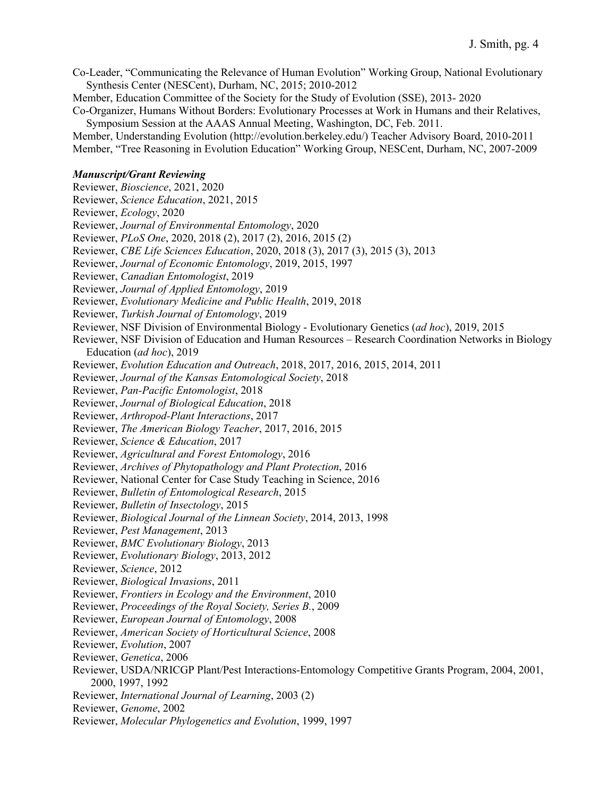Co-Leader, "Communicating the Relevance of Human Evolution" Working Group, National Evolutionary Synthesis Center (NESCent), Durham, NC, 2015; 2010-2012

Member, Education Committee of the Society for the Study of Evolution (SSE), 2013- 2020

Co-Organizer, Humans Without Borders: Evolutionary Processes at Work in Humans and their Relatives, Symposium Session at the AAAS Annual Meeting, Washington, DC, Feb. 2011.

Member, Understanding Evolution (http://evolution.berkeley.edu/) Teacher Advisory Board, 2010-2011 Member, "Tree Reasoning in Evolution Education" Working Group, NESCent, Durham, NC, 2007-2009

#### *Manuscript/Grant Reviewing*

Reviewer, *Bioscience*, 2021, 2020 Reviewer, *Science Education*, 2021, 2015 Reviewer, *Ecology*, 2020 Reviewer, *Journal of Environmental Entomology*, 2020 Reviewer, *PLoS One*, 2020, 2018 (2), 2017 (2), 2016, 2015 (2) Reviewer, *CBE Life Sciences Education*, 2020, 2018 (3), 2017 (3), 2015 (3), 2013 Reviewer, *Journal of Economic Entomology*, 2019, 2015, 1997 Reviewer, *Canadian Entomologist*, 2019 Reviewer, *Journal of Applied Entomology*, 2019 Reviewer, *Evolutionary Medicine and Public Health*, 2019, 2018 Reviewer, *Turkish Journal of Entomology*, 2019 Reviewer, NSF Division of Environmental Biology - Evolutionary Genetics (*ad hoc*), 2019, 2015 Reviewer, NSF Division of Education and Human Resources – Research Coordination Networks in Biology Education (*ad hoc*), 2019 Reviewer, *Evolution Education and Outreach*, 2018, 2017, 2016, 2015, 2014, 2011 Reviewer, *Journal of the Kansas Entomological Society*, 2018 Reviewer, *Pan-Pacific Entomologist*, 2018 Reviewer, *Journal of Biological Education*, 2018 Reviewer, *Arthropod-Plant Interactions*, 2017 Reviewer, *The American Biology Teacher*, 2017, 2016, 2015 Reviewer, *Science & Education*, 2017 Reviewer, *Agricultural and Forest Entomology*, 2016 Reviewer, *Archives of Phytopathology and Plant Protection*, 2016 Reviewer, National Center for Case Study Teaching in Science, 2016 Reviewer, *Bulletin of Entomological Research*, 2015 Reviewer, *Bulletin of Insectology*, 2015 Reviewer, *Biological Journal of the Linnean Society*, 2014, 2013, 1998 Reviewer, *Pest Management*, 2013 Reviewer, *BMC Evolutionary Biology*, 2013 Reviewer, *Evolutionary Biology*, 2013, 2012 Reviewer, *Science*, 2012 Reviewer, *Biological Invasions*, 2011 Reviewer, *Frontiers in Ecology and the Environment*, 2010 Reviewer, *Proceedings of the Royal Society, Series B.*, 2009 Reviewer, *European Journal of Entomology*, 2008 Reviewer, *American Society of Horticultural Science*, 2008 Reviewer, *Evolution*, 2007 Reviewer, *Genetica*, 2006 Reviewer, USDA/NRICGP Plant/Pest Interactions-Entomology Competitive Grants Program, 2004, 2001, 2000, 1997, 1992 Reviewer, *International Journal of Learning*, 2003 (2) Reviewer, *Genome*, 2002 Reviewer, *Molecular Phylogenetics and Evolution*, 1999, 1997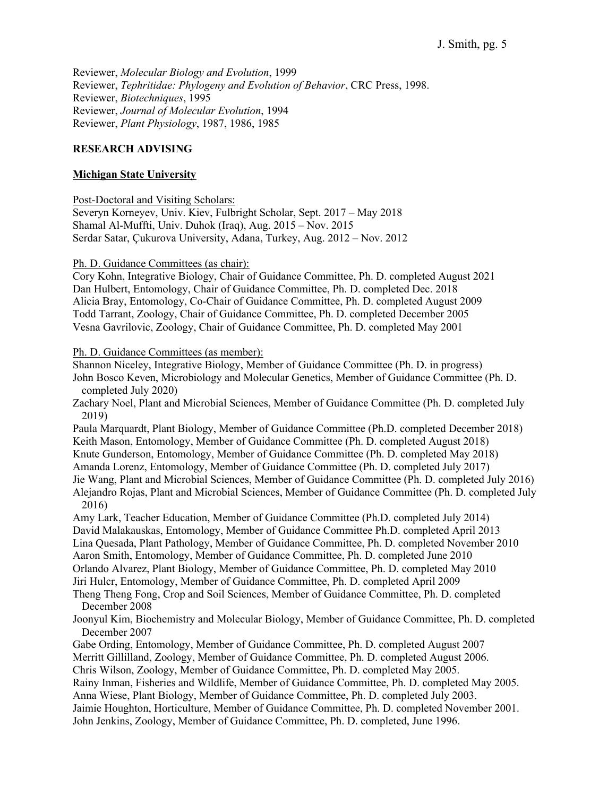Reviewer, *Molecular Biology and Evolution*, 1999 Reviewer, *Tephritidae: Phylogeny and Evolution of Behavior*, CRC Press, 1998. Reviewer, *Biotechniques*, 1995 Reviewer, *Journal of Molecular Evolution*, 1994 Reviewer, *Plant Physiology*, 1987, 1986, 1985

#### **RESEARCH ADVISING**

### **Michigan State University**

Post-Doctoral and Visiting Scholars:

Severyn Korneyev, Univ. Kiev, Fulbright Scholar, Sept. 2017 – May 2018 Shamal Al-Muffti, Univ. Duhok (Iraq), Aug. 2015 – Nov. 2015 Serdar Satar, Çukurova University, Adana, Turkey, Aug. 2012 – Nov. 2012

Ph. D. Guidance Committees (as chair):

Cory Kohn, Integrative Biology, Chair of Guidance Committee, Ph. D. completed August 2021 Dan Hulbert, Entomology, Chair of Guidance Committee, Ph. D. completed Dec. 2018 Alicia Bray, Entomology, Co-Chair of Guidance Committee, Ph. D. completed August 2009 Todd Tarrant, Zoology, Chair of Guidance Committee, Ph. D. completed December 2005 Vesna Gavrilovic, Zoology, Chair of Guidance Committee, Ph. D. completed May 2001

Ph. D. Guidance Committees (as member):

Shannon Niceley, Integrative Biology, Member of Guidance Committee (Ph. D. in progress) John Bosco Keven, Microbiology and Molecular Genetics, Member of Guidance Committee (Ph. D. completed July 2020) Zachary Noel, Plant and Microbial Sciences, Member of Guidance Committee (Ph. D. completed July 2019)

Paula Marquardt, Plant Biology, Member of Guidance Committee (Ph.D. completed December 2018) Keith Mason, Entomology, Member of Guidance Committee (Ph. D. completed August 2018)

Knute Gunderson, Entomology, Member of Guidance Committee (Ph. D. completed May 2018)

Amanda Lorenz, Entomology, Member of Guidance Committee (Ph. D. completed July 2017)

Jie Wang, Plant and Microbial Sciences, Member of Guidance Committee (Ph. D. completed July 2016) Alejandro Rojas, Plant and Microbial Sciences, Member of Guidance Committee (Ph. D. completed July 2016)

Amy Lark, Teacher Education, Member of Guidance Committee (Ph.D. completed July 2014) David Malakauskas, Entomology, Member of Guidance Committee Ph.D. completed April 2013 Lina Quesada, Plant Pathology, Member of Guidance Committee, Ph. D. completed November 2010 Aaron Smith, Entomology, Member of Guidance Committee, Ph. D. completed June 2010 Orlando Alvarez, Plant Biology, Member of Guidance Committee, Ph. D. completed May 2010 Jiri Hulcr, Entomology, Member of Guidance Committee, Ph. D. completed April 2009

Theng Theng Fong, Crop and Soil Sciences, Member of Guidance Committee, Ph. D. completed December 2008

Joonyul Kim, Biochemistry and Molecular Biology, Member of Guidance Committee, Ph. D. completed December 2007

Gabe Ording, Entomology, Member of Guidance Committee, Ph. D. completed August 2007 Merritt Gillilland, Zoology, Member of Guidance Committee, Ph. D. completed August 2006. Chris Wilson, Zoology, Member of Guidance Committee, Ph. D. completed May 2005. Rainy Inman, Fisheries and Wildlife, Member of Guidance Committee, Ph. D. completed May 2005. Anna Wiese, Plant Biology, Member of Guidance Committee, Ph. D. completed July 2003. Jaimie Houghton, Horticulture, Member of Guidance Committee, Ph. D. completed November 2001. John Jenkins, Zoology, Member of Guidance Committee, Ph. D. completed, June 1996.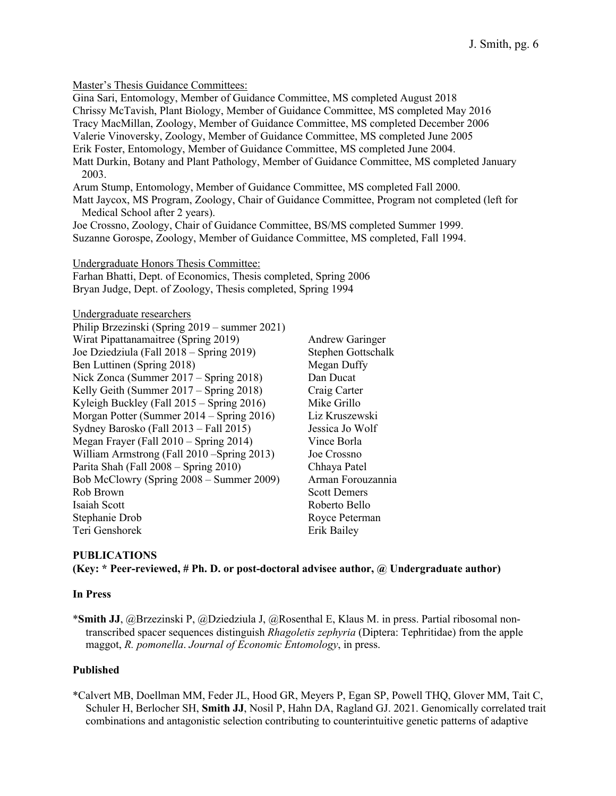Master's Thesis Guidance Committees: Gina Sari, Entomology, Member of Guidance Committee, MS completed August 2018 Chrissy McTavish, Plant Biology, Member of Guidance Committee, MS completed May 2016 Tracy MacMillan, Zoology, Member of Guidance Committee, MS completed December 2006 Valerie Vinoversky, Zoology, Member of Guidance Committee, MS completed June 2005 Erik Foster, Entomology, Member of Guidance Committee, MS completed June 2004. Matt Durkin, Botany and Plant Pathology, Member of Guidance Committee, MS completed January 2003. Arum Stump, Entomology, Member of Guidance Committee, MS completed Fall 2000. Matt Jaycox, MS Program, Zoology, Chair of Guidance Committee, Program not completed (left for Medical School after 2 years).

Joe Crossno, Zoology, Chair of Guidance Committee, BS/MS completed Summer 1999. Suzanne Gorospe, Zoology, Member of Guidance Committee, MS completed, Fall 1994.

Undergraduate Honors Thesis Committee:

Farhan Bhatti, Dept. of Economics, Thesis completed, Spring 2006 Bryan Judge, Dept. of Zoology, Thesis completed, Spring 1994

Undergraduate researchers

| Philip Brzezinski (Spring 2019 – summer 2021) |                        |
|-----------------------------------------------|------------------------|
| Wirat Pipattanamaitree (Spring 2019)          | <b>Andrew Garinger</b> |
| Joe Dziedziula (Fall 2018 – Spring 2019)      | Stephen Gottschalk     |
| Ben Luttinen (Spring 2018)                    | Megan Duffy            |
| Nick Zonca (Summer 2017 – Spring 2018)        | Dan Ducat              |
| Kelly Geith (Summer 2017 – Spring 2018)       | Craig Carter           |
| Kyleigh Buckley (Fall $2015 -$ Spring 2016)   | Mike Grillo            |
| Morgan Potter (Summer 2014 – Spring 2016)     | Liz Kruszewski         |
| Sydney Barosko (Fall 2013 - Fall 2015)        | Jessica Jo Wolf        |
| Megan Frayer (Fall 2010 – Spring 2014)        | Vince Borla            |
| William Armstrong (Fall 2010 – Spring 2013)   | Joe Crossno            |
| Parita Shah (Fall 2008 – Spring 2010)         | Chhaya Patel           |
| Bob McClowry (Spring 2008 – Summer 2009)      | Arman Forouzannia      |
| Rob Brown                                     | <b>Scott Demers</b>    |
| Isaiah Scott                                  | Roberto Bello          |
| Stephanie Drob                                | Royce Peterman         |
| Teri Genshorek                                | Erik Bailey            |

## **PUBLICATIONS (Key: \* Peer-reviewed, # Ph. D. or post-doctoral advisee author, @ Undergraduate author)**

#### **In Press**

\***Smith JJ**, @Brzezinski P, @Dziedziula J, @Rosenthal E, Klaus M. in press. Partial ribosomal nontranscribed spacer sequences distinguish *Rhagoletis zephyria* (Diptera: Tephritidae) from the apple maggot, *R. pomonella*. *Journal of Economic Entomology*, in press.

#### **Published**

\*Calvert MB, Doellman MM, Feder JL, Hood GR, Meyers P, Egan SP, Powell THQ, Glover MM, Tait C, Schuler H, Berlocher SH, **Smith JJ**, Nosil P, Hahn DA, Ragland GJ. 2021. Genomically correlated trait combinations and antagonistic selection contributing to counterintuitive genetic patterns of adaptive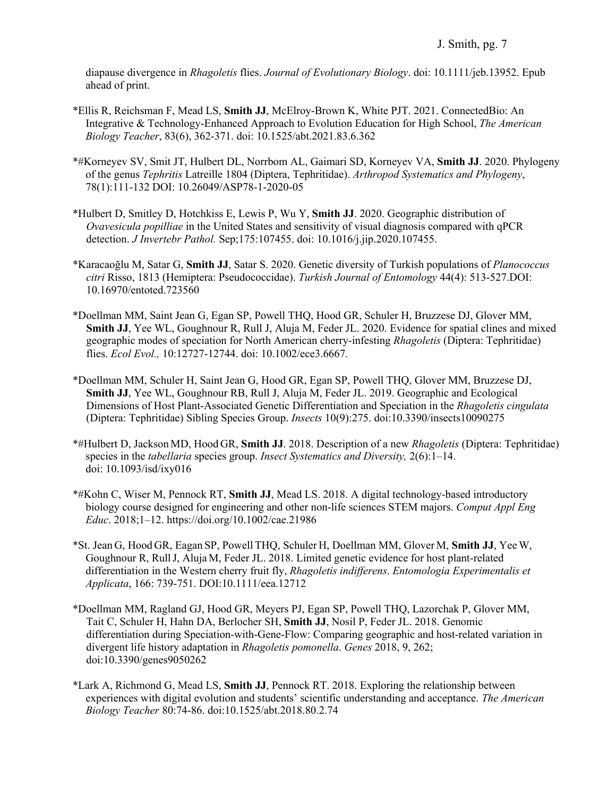diapause divergence in *Rhagoletis* flies. *Journal of Evolutionary Biology*. doi: 10.1111/jeb.13952. Epub ahead of print.

- \*Ellis R, Reichsman F, Mead LS, **Smith JJ**, McElroy-Brown K, White PJT. 2021. ConnectedBio: An Integrative & Technology-Enhanced Approach to Evolution Education for High School, *The American Biology Teacher*, 83(6), 362-371. doi: 10.1525/abt.2021.83.6.362
- \*#Korneyev SV, Smit JT, Hulbert DL, Norrbom AL, Gaimari SD, Korneyev VA, **Smith JJ**. 2020. Phylogeny of the genus *Tephritis* Latreille 1804 (Diptera, Tephritidae). *Arthropod Systematics and Phylogeny*, 78(1):111-132 DOI: 10.26049/ASP78-1-2020-05
- \*Hulbert D, Smitley D, Hotchkiss E, Lewis P, Wu Y, **Smith JJ**. 2020. Geographic distribution of *Ovavesicula popilliae* in the United States and sensitivity of visual diagnosis compared with qPCR detection. *J Invertebr Pathol.* Sep;175:107455. doi: 10.1016/j.jip.2020.107455.
- \*Karacaoğlu M, Satar G, **Smith JJ**, Satar S. 2020. Genetic diversity of Turkish populations of *Planococcus citri* Risso, 1813 (Hemiptera: Pseudococcidae). *Turkish Journal of Entomology* 44(4): 513-527.DOI: 10.16970/entoted.723560
- \*Doellman MM, Saint Jean G, Egan SP, Powell THQ, Hood GR, Schuler H, Bruzzese DJ, Glover MM, **Smith JJ**, Yee WL, Goughnour R, Rull J, Aluja M, Feder JL. 2020. Evidence for spatial clines and mixed geographic modes of speciation for North American cherry-infesting *Rhagoletis* (Diptera: Tephritidae) flies. *Ecol Evol.,* 10:12727-12744. doi: 10.1002/ece3.6667.
- \*Doellman MM, Schuler H, Saint Jean G, Hood GR, Egan SP, Powell THQ, Glover MM, Bruzzese DJ, **Smith JJ**, Yee WL, Goughnour RB, Rull J, Aluja M, Feder JL. 2019. Geographic and Ecological Dimensions of Host Plant-Associated Genetic Differentiation and Speciation in the *Rhagoletis cingulata* (Diptera: Tephritidae) Sibling Species Group. *Insects* 10(9):275. doi:10.3390/insects10090275
- \*#Hulbert D, Jackson MD, Hood GR, **Smith JJ**. 2018. Description of a new *Rhagoletis* (Diptera: Tephritidae) species in the *tabellaria* species group. *Insect Systematics and Diversity,* 2(6):1–14. doi: 10.1093/isd/ixy016
- \*#Kohn C, Wiser M, Pennock RT, **Smith JJ**, Mead LS. 2018. A digital technology-based introductory biology course designed for engineering and other non-life sciences STEM majors. *Comput Appl Eng Educ*. 2018;1–12. https://doi.org/10.1002/cae.21986
- \*St. Jean G, Hood GR, Eagan SP, Powell THQ, Schuler H, Doellman MM, Glover M, **Smith JJ**, Yee W, Goughnour R, RullJ, Aluja M, Feder JL. 2018. Limited genetic evidence for host plant-related differentiation in the Western cherry fruit fly, *Rhagoletis indifferens*. *Entomologia Experimentalis et Applicata*, 166: 739-751. DOI:10.1111/eea.12712
- \*Doellman MM, Ragland GJ, Hood GR, Meyers PJ, Egan SP, Powell THQ, Lazorchak P, Glover MM, Tait C, Schuler H, Hahn DA, Berlocher SH, **Smith JJ**, Nosil P, Feder JL. 2018. Genomic differentiation during Speciation-with-Gene-Flow: Comparing geographic and host-related variation in divergent life history adaptation in *Rhagoletis pomonella*. *Genes* 2018, 9, 262; doi:10.3390/genes9050262
- \*Lark A, Richmond G, Mead LS, **Smith JJ**, Pennock RT. 2018. Exploring the relationship between experiences with digital evolution and students' scientific understanding and acceptance. *The American Biology Teacher* 80:74-86. doi:10.1525/abt.2018.80.2.74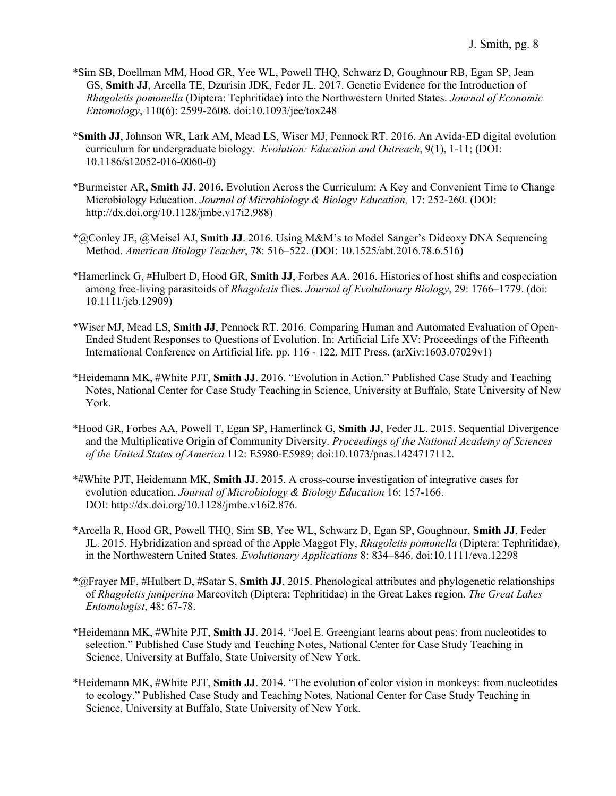- \*Sim SB, Doellman MM, Hood GR, Yee WL, Powell THQ, Schwarz D, Goughnour RB, Egan SP, Jean GS, **Smith JJ**, Arcella TE, Dzurisin JDK, Feder JL. 2017. Genetic Evidence for the Introduction of *Rhagoletis pomonella* (Diptera: Tephritidae) into the Northwestern United States. *Journal of Economic Entomology*, 110(6): 2599-2608. doi:10.1093/jee/tox248
- **\*Smith JJ**, Johnson WR, Lark AM, Mead LS, Wiser MJ, Pennock RT. 2016. An Avida-ED digital evolution curriculum for undergraduate biology. *Evolution: Education and Outreach*, 9(1), 1-11; (DOI: 10.1186/s12052-016-0060-0)
- \*Burmeister AR, **Smith JJ**. 2016. Evolution Across the Curriculum: A Key and Convenient Time to Change Microbiology Education. *Journal of Microbiology & Biology Education,* 17: 252-260. (DOI: http://dx.doi.org/10.1128/jmbe.v17i2.988)
- \*@Conley JE, @Meisel AJ, **Smith JJ**. 2016. Using M&M's to Model Sanger's Dideoxy DNA Sequencing Method. *American Biology Teacher*, 78: 516–522. (DOI: 10.1525/abt.2016.78.6.516)
- \*Hamerlinck G, #Hulbert D, Hood GR, **Smith JJ**, Forbes AA. 2016. Histories of host shifts and cospeciation among free-living parasitoids of *Rhagoletis* flies. *Journal of Evolutionary Biology*, 29: 1766–1779. (doi: 10.1111/jeb.12909)
- \*Wiser MJ, Mead LS, **Smith JJ**, Pennock RT. 2016. Comparing Human and Automated Evaluation of Open-Ended Student Responses to Questions of Evolution. In: Artificial Life XV: Proceedings of the Fifteenth International Conference on Artificial life. pp. 116 - 122. MIT Press. (arXiv:1603.07029v1)
- \*Heidemann MK, #White PJT, **Smith JJ**. 2016. "Evolution in Action." Published Case Study and Teaching Notes, National Center for Case Study Teaching in Science, University at Buffalo, State University of New York.
- \*Hood GR, Forbes AA, Powell T, Egan SP, Hamerlinck G, **Smith JJ**, Feder JL. 2015. Sequential Divergence and the Multiplicative Origin of Community Diversity. *Proceedings of the National Academy of Sciences of the United States of America* 112: E5980-E5989; doi:10.1073/pnas.1424717112.
- \*#White PJT, Heidemann MK, **Smith JJ**. 2015. A cross-course investigation of integrative cases for evolution education. *Journal of Microbiology & Biology Education* 16: 157-166. DOI: http://dx.doi.org/10.1128/jmbe.v16i2.876.
- \*Arcella R, Hood GR, Powell THQ, Sim SB, Yee WL, Schwarz D, Egan SP, Goughnour, **Smith JJ**, Feder JL. 2015. Hybridization and spread of the Apple Maggot Fly, *Rhagoletis pomonella* (Diptera: Tephritidae), in the Northwestern United States. *Evolutionary Applications* 8: 834–846. doi:10.1111/eva.12298
- \*@Frayer MF, #Hulbert D, #Satar S, **Smith JJ**. 2015. Phenological attributes and phylogenetic relationships of *Rhagoletis juniperina* Marcovitch (Diptera: Tephritidae) in the Great Lakes region. *The Great Lakes Entomologist*, 48: 67-78.
- \*Heidemann MK, #White PJT, **Smith JJ**. 2014. "Joel E. Greengiant learns about peas: from nucleotides to selection." Published Case Study and Teaching Notes, National Center for Case Study Teaching in Science, University at Buffalo, State University of New York.
- \*Heidemann MK, #White PJT, **Smith JJ**. 2014. "The evolution of color vision in monkeys: from nucleotides to ecology." Published Case Study and Teaching Notes, National Center for Case Study Teaching in Science, University at Buffalo, State University of New York.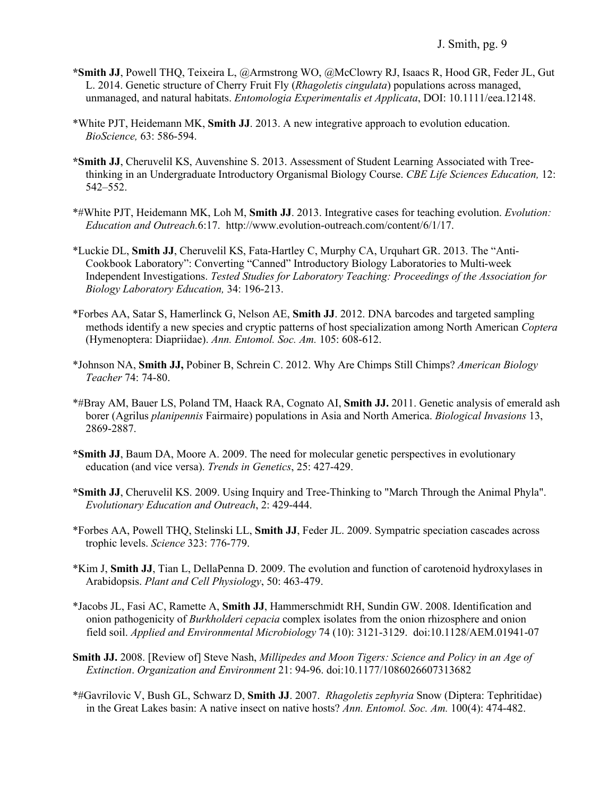- **\*Smith JJ**, Powell THQ, Teixeira L, @Armstrong WO, @McClowry RJ, Isaacs R, Hood GR, Feder JL, Gut L. 2014. Genetic structure of Cherry Fruit Fly (*Rhagoletis cingulata*) populations across managed, unmanaged, and natural habitats. *Entomologia Experimentalis et Applicata*, DOI: 10.1111/eea.12148.
- \*White PJT, Heidemann MK, **Smith JJ**. 2013. A new integrative approach to evolution education. *BioScience,* 63: 586-594.
- **\*Smith JJ**, Cheruvelil KS, Auvenshine S. 2013. Assessment of Student Learning Associated with Treethinking in an Undergraduate Introductory Organismal Biology Course. *CBE Life Sciences Education,* 12: 542–552.
- \*#White PJT, Heidemann MK, Loh M, **Smith JJ**. 2013. Integrative cases for teaching evolution. *Evolution: Education and Outreach.*6:17. http://www.evolution-outreach.com/content/6/1/17.
- \*Luckie DL, **Smith JJ**, Cheruvelil KS, Fata-Hartley C, Murphy CA, Urquhart GR. 2013. The "Anti-Cookbook Laboratory": Converting "Canned" Introductory Biology Laboratories to Multi-week Independent Investigations. *Tested Studies for Laboratory Teaching: Proceedings of the Association for Biology Laboratory Education,* 34: 196-213.
- \*Forbes AA, Satar S, Hamerlinck G, Nelson AE, **Smith JJ**. 2012. DNA barcodes and targeted sampling methods identify a new species and cryptic patterns of host specialization among North American *Coptera*  (Hymenoptera: Diapriidae). *Ann. Entomol. Soc. Am.* 105: 608-612.
- \*Johnson NA, **Smith JJ,** Pobiner B, Schrein C. 2012. Why Are Chimps Still Chimps? *American Biology Teacher* 74: 74-80.
- \*#Bray AM, Bauer LS, Poland TM, Haack RA, Cognato AI, **Smith JJ.** 2011. Genetic analysis of emerald ash borer (Agrilus *planipennis* Fairmaire) populations in Asia and North America. *Biological Invasions* 13, 2869-2887.
- **\*Smith JJ**, Baum DA, Moore A. 2009. The need for molecular genetic perspectives in evolutionary education (and vice versa). *Trends in Genetics*, 25: 427-429.
- **\*Smith JJ**, Cheruvelil KS. 2009. Using Inquiry and Tree-Thinking to "March Through the Animal Phyla". *Evolutionary Education and Outreach*, 2: 429-444.
- \*Forbes AA, Powell THQ, Stelinski LL, **Smith JJ**, Feder JL. 2009. Sympatric speciation cascades across trophic levels. *Science* 323: 776-779.
- \*Kim J, **Smith JJ**, Tian L, DellaPenna D. 2009. The evolution and function of carotenoid hydroxylases in Arabidopsis. *Plant and Cell Physiology*, 50: 463-479.
- \*Jacobs JL, Fasi AC, Ramette A, **Smith JJ**, Hammerschmidt RH, Sundin GW. 2008. Identification and onion pathogenicity of *Burkholderi cepacia* complex isolates from the onion rhizosphere and onion field soil. *Applied and Environmental Microbiology* 74 (10): 3121-3129. doi:10.1128/AEM.01941-07
- **Smith JJ.** 2008. [Review of] Steve Nash, *Millipedes and Moon Tigers: Science and Policy in an Age of Extinction*. *Organization and Environment* 21: 94-96. doi:10.1177/1086026607313682
- \*#Gavrilovic V, Bush GL, Schwarz D, **Smith JJ**. 2007. *Rhagoletis zephyria* Snow (Diptera: Tephritidae) in the Great Lakes basin: A native insect on native hosts? *Ann. Entomol. Soc. Am.* 100(4): 474-482.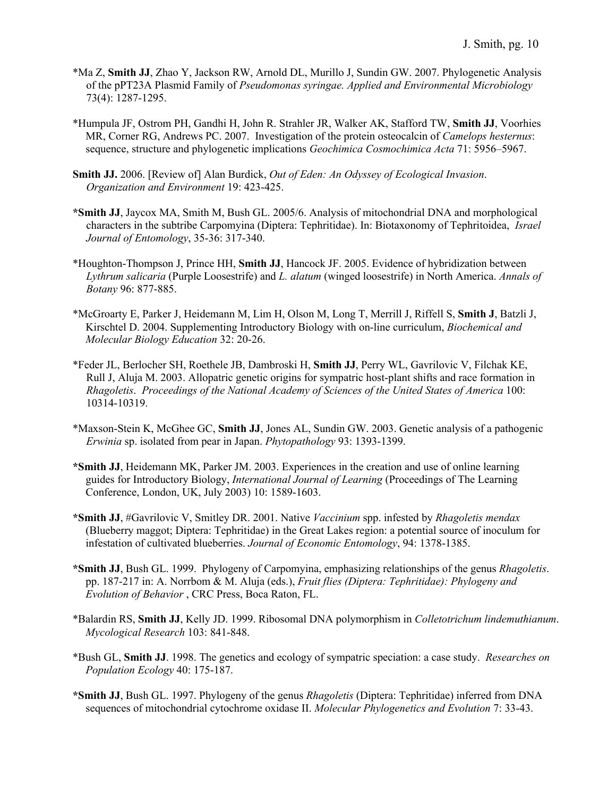- \*Ma Z, **Smith JJ**, Zhao Y, Jackson RW, Arnold DL, Murillo J, Sundin GW. 2007. Phylogenetic Analysis of the pPT23A Plasmid Family of *Pseudomonas syringae. Applied and Environmental Microbiology*  73(4): 1287-1295.
- \*Humpula JF, Ostrom PH, Gandhi H, John R. Strahler JR, Walker AK, Stafford TW, **Smith JJ**, Voorhies MR, Corner RG, Andrews PC. 2007. Investigation of the protein osteocalcin of *Camelops hesternus*: sequence, structure and phylogenetic implications *Geochimica Cosmochimica Acta* 71: 5956–5967.
- **Smith JJ.** 2006. [Review of] Alan Burdick, *Out of Eden: An Odyssey of Ecological Invasion*. *Organization and Environment* 19: 423-425.
- **\*Smith JJ**, Jaycox MA, Smith M, Bush GL. 2005/6. Analysis of mitochondrial DNA and morphological characters in the subtribe Carpomyina (Diptera: Tephritidae). In: Biotaxonomy of Tephritoidea, *Israel Journal of Entomology*, 35-36: 317-340.
- \*Houghton-Thompson J, Prince HH, **Smith JJ**, Hancock JF. 2005. Evidence of hybridization between *Lythrum salicaria* (Purple Loosestrife) and *L. alatum* (winged loosestrife) in North America. *Annals of Botany* 96: 877-885.
- \*McGroarty E, Parker J, Heidemann M, Lim H, Olson M, Long T, Merrill J, Riffell S, **Smith J**, Batzli J, Kirschtel D. 2004. Supplementing Introductory Biology with on-line curriculum, *Biochemical and Molecular Biology Education* 32: 20-26.
- \*Feder JL, Berlocher SH, Roethele JB, Dambroski H, **Smith JJ**, Perry WL, Gavrilovic V, Filchak KE, Rull J, Aluja M. 2003. Allopatric genetic origins for sympatric host-plant shifts and race formation in *Rhagoletis*. *Proceedings of the National Academy of Sciences of the United States of America* 100: 10314-10319.
- \*Maxson-Stein K, McGhee GC, **Smith JJ**, Jones AL, Sundin GW. 2003. Genetic analysis of a pathogenic *Erwinia* sp. isolated from pear in Japan. *Phytopathology* 93: 1393-1399.
- **\*Smith JJ**, Heidemann MK, Parker JM. 2003. Experiences in the creation and use of online learning guides for Introductory Biology, *International Journal of Learning* (Proceedings of The Learning Conference, London, UK, July 2003) 10: 1589-1603.
- **\*Smith JJ**, #Gavrilovic V, Smitley DR. 2001. Native *Vaccinium* spp. infested by *Rhagoletis mendax*  (Blueberry maggot; Diptera: Tephritidae) in the Great Lakes region: a potential source of inoculum for infestation of cultivated blueberries. *Journal of Economic Entomology*, 94: 1378-1385.
- **\*Smith JJ**, Bush GL. 1999. Phylogeny of Carpomyina, emphasizing relationships of the genus *Rhagoletis*. pp. 187-217 in: A. Norrbom & M. Aluja (eds.), *Fruit flies (Diptera: Tephritidae): Phylogeny and Evolution of Behavior* , CRC Press, Boca Raton, FL.
- \*Balardin RS, **Smith JJ**, Kelly JD. 1999. Ribosomal DNA polymorphism in *Colletotrichum lindemuthianum*. *Mycological Research* 103: 841-848.
- \*Bush GL, **Smith JJ**. 1998. The genetics and ecology of sympatric speciation: a case study. *Researches on Population Ecology* 40: 175-187.
- **\*Smith JJ**, Bush GL. 1997. Phylogeny of the genus *Rhagoletis* (Diptera: Tephritidae) inferred from DNA sequences of mitochondrial cytochrome oxidase II. *Molecular Phylogenetics and Evolution* 7: 33-43.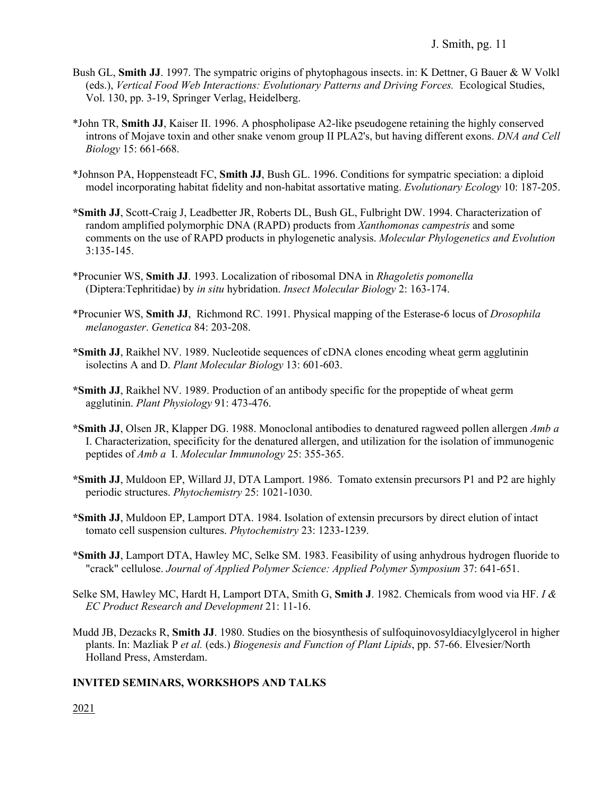- Bush GL, **Smith JJ**. 1997. The sympatric origins of phytophagous insects. in: K Dettner, G Bauer & W Volkl (eds.), *Vertical Food Web Interactions: Evolutionary Patterns and Driving Forces.* Ecological Studies, Vol. 130, pp. 3-19, Springer Verlag, Heidelberg.
- \*John TR, **Smith JJ**, Kaiser II. 1996. A phospholipase A2-like pseudogene retaining the highly conserved introns of Mojave toxin and other snake venom group II PLA2's, but having different exons. *DNA and Cell Biology* 15: 661-668.
- \*Johnson PA, Hoppensteadt FC, **Smith JJ**, Bush GL. 1996. Conditions for sympatric speciation: a diploid model incorporating habitat fidelity and non-habitat assortative mating. *Evolutionary Ecology* 10: 187-205.
- **\*Smith JJ**, Scott-Craig J, Leadbetter JR, Roberts DL, Bush GL, Fulbright DW. 1994. Characterization of random amplified polymorphic DNA (RAPD) products from *Xanthomonas campestris* and some comments on the use of RAPD products in phylogenetic analysis. *Molecular Phylogenetics and Evolution* 3:135-145.
- \*Procunier WS, **Smith JJ**. 1993. Localization of ribosomal DNA in *Rhagoletis pomonella* (Diptera:Tephritidae) by *in situ* hybridation. *Insect Molecular Biology* 2: 163-174.
- \*Procunier WS, **Smith JJ**, Richmond RC. 1991. Physical mapping of the Esterase-6 locus of *Drosophila melanogaster*. *Genetica* 84: 203-208.
- **\*Smith JJ**, Raikhel NV. 1989. Nucleotide sequences of cDNA clones encoding wheat germ agglutinin isolectins A and D. *Plant Molecular Biology* 13: 601-603.
- **\*Smith JJ**, Raikhel NV. 1989. Production of an antibody specific for the propeptide of wheat germ agglutinin. *Plant Physiology* 91: 473-476.
- **\*Smith JJ**, Olsen JR, Klapper DG. 1988. Monoclonal antibodies to denatured ragweed pollen allergen *Amb a* I. Characterization, specificity for the denatured allergen, and utilization for the isolation of immunogenic peptides of *Amb a* I. *Molecular Immunology* 25: 355-365.
- **\*Smith JJ**, Muldoon EP, Willard JJ, DTA Lamport. 1986. Tomato extensin precursors P1 and P2 are highly periodic structures. *Phytochemistry* 25: 1021-1030.
- **\*Smith JJ**, Muldoon EP, Lamport DTA. 1984. Isolation of extensin precursors by direct elution of intact tomato cell suspension cultures. *Phytochemistry* 23: 1233-1239.
- **\*Smith JJ**, Lamport DTA, Hawley MC, Selke SM. 1983. Feasibility of using anhydrous hydrogen fluoride to "crack" cellulose. *Journal of Applied Polymer Science: Applied Polymer Symposium* 37: 641-651.
- Selke SM, Hawley MC, Hardt H, Lamport DTA, Smith G, **Smith J**. 1982. Chemicals from wood via HF. *I & EC Product Research and Development* 21: 11-16.
- Mudd JB, Dezacks R, **Smith JJ**. 1980. Studies on the biosynthesis of sulfoquinovosyldiacylglycerol in higher plants. In: Mazliak P *et al.* (eds.) *Biogenesis and Function of Plant Lipids*, pp. 57-66. Elvesier/North Holland Press, Amsterdam.

## **INVITED SEMINARS, WORKSHOPS AND TALKS**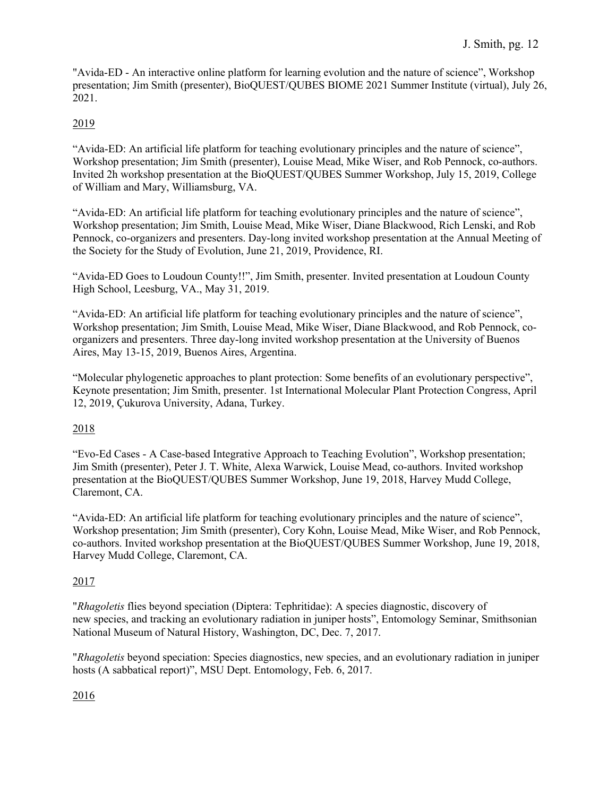"Avida-ED - An interactive online platform for learning evolution and the nature of science", Workshop presentation; Jim Smith (presenter), BioQUEST/QUBES BIOME 2021 Summer Institute (virtual), July 26, 2021.

## 2019

"Avida-ED: An artificial life platform for teaching evolutionary principles and the nature of science", Workshop presentation; Jim Smith (presenter), Louise Mead, Mike Wiser, and Rob Pennock, co-authors. Invited 2h workshop presentation at the BioQUEST/QUBES Summer Workshop, July 15, 2019, College of William and Mary, Williamsburg, VA.

"Avida-ED: An artificial life platform for teaching evolutionary principles and the nature of science", Workshop presentation; Jim Smith, Louise Mead, Mike Wiser, Diane Blackwood, Rich Lenski, and Rob Pennock, co-organizers and presenters. Day-long invited workshop presentation at the Annual Meeting of the Society for the Study of Evolution, June 21, 2019, Providence, RI.

"Avida-ED Goes to Loudoun County!!", Jim Smith, presenter. Invited presentation at Loudoun County High School, Leesburg, VA., May 31, 2019.

"Avida-ED: An artificial life platform for teaching evolutionary principles and the nature of science", Workshop presentation; Jim Smith, Louise Mead, Mike Wiser, Diane Blackwood, and Rob Pennock, coorganizers and presenters. Three day-long invited workshop presentation at the University of Buenos Aires, May 13-15, 2019, Buenos Aires, Argentina.

"Molecular phylogenetic approaches to plant protection: Some benefits of an evolutionary perspective", Keynote presentation; Jim Smith, presenter. 1st International Molecular Plant Protection Congress, April 12, 2019, Çukurova University, Adana, Turkey.

## 2018

"Evo-Ed Cases - A Case-based Integrative Approach to Teaching Evolution", Workshop presentation; Jim Smith (presenter), Peter J. T. White, Alexa Warwick, Louise Mead, co-authors. Invited workshop presentation at the BioQUEST/QUBES Summer Workshop, June 19, 2018, Harvey Mudd College, Claremont, CA.

"Avida-ED: An artificial life platform for teaching evolutionary principles and the nature of science", Workshop presentation; Jim Smith (presenter), Cory Kohn, Louise Mead, Mike Wiser, and Rob Pennock, co-authors. Invited workshop presentation at the BioQUEST/QUBES Summer Workshop, June 19, 2018, Harvey Mudd College, Claremont, CA.

## 2017

"*Rhagoletis* flies beyond speciation (Diptera: Tephritidae): A species diagnostic, discovery of new species, and tracking an evolutionary radiation in juniper hosts", Entomology Seminar, Smithsonian National Museum of Natural History, Washington, DC, Dec. 7, 2017.

"*Rhagoletis* beyond speciation: Species diagnostics, new species, and an evolutionary radiation in juniper hosts (A sabbatical report)", MSU Dept. Entomology, Feb. 6, 2017.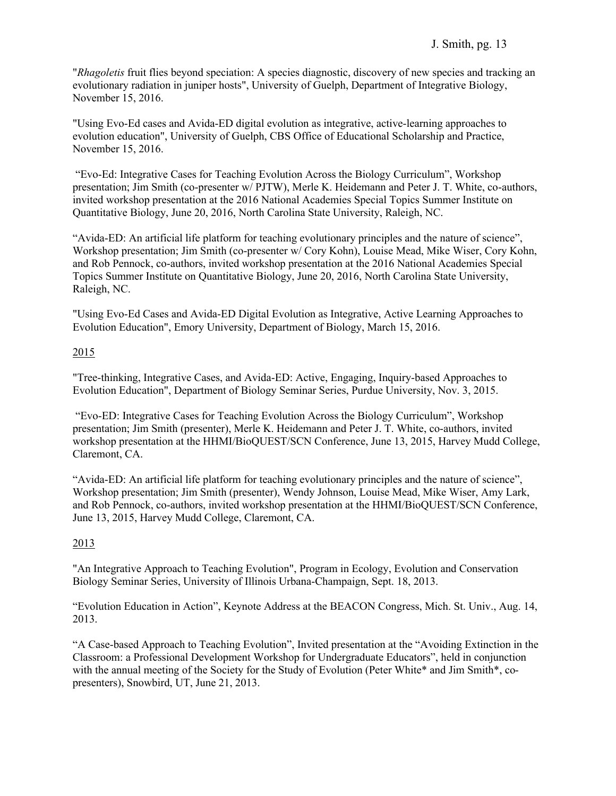"*Rhagoletis* fruit flies beyond speciation: A species diagnostic, discovery of new species and tracking an evolutionary radiation in juniper hosts", University of Guelph, Department of Integrative Biology, November 15, 2016.

"Using Evo-Ed cases and Avida-ED digital evolution as integrative, active-learning approaches to evolution education", University of Guelph, CBS Office of Educational Scholarship and Practice, November 15, 2016.

"Evo-Ed: Integrative Cases for Teaching Evolution Across the Biology Curriculum", Workshop presentation; Jim Smith (co-presenter w/ PJTW), Merle K. Heidemann and Peter J. T. White, co-authors, invited workshop presentation at the 2016 National Academies Special Topics Summer Institute on Quantitative Biology, June 20, 2016, North Carolina State University, Raleigh, NC.

"Avida-ED: An artificial life platform for teaching evolutionary principles and the nature of science", Workshop presentation; Jim Smith (co-presenter w/ Cory Kohn), Louise Mead, Mike Wiser, Cory Kohn, and Rob Pennock, co-authors, invited workshop presentation at the 2016 National Academies Special Topics Summer Institute on Quantitative Biology, June 20, 2016, North Carolina State University, Raleigh, NC.

"Using Evo-Ed Cases and Avida-ED Digital Evolution as Integrative, Active Learning Approaches to Evolution Education", Emory University, Department of Biology, March 15, 2016.

## 2015

"Tree-thinking, Integrative Cases, and Avida-ED: Active, Engaging, Inquiry-based Approaches to Evolution Education", Department of Biology Seminar Series, Purdue University, Nov. 3, 2015.

"Evo-ED: Integrative Cases for Teaching Evolution Across the Biology Curriculum", Workshop presentation; Jim Smith (presenter), Merle K. Heidemann and Peter J. T. White, co-authors, invited workshop presentation at the HHMI/BioQUEST/SCN Conference, June 13, 2015, Harvey Mudd College, Claremont, CA.

"Avida-ED: An artificial life platform for teaching evolutionary principles and the nature of science", Workshop presentation; Jim Smith (presenter), Wendy Johnson, Louise Mead, Mike Wiser, Amy Lark, and Rob Pennock, co-authors, invited workshop presentation at the HHMI/BioQUEST/SCN Conference, June 13, 2015, Harvey Mudd College, Claremont, CA.

## 2013

"An Integrative Approach to Teaching Evolution", Program in Ecology, Evolution and Conservation Biology Seminar Series, University of Illinois Urbana-Champaign, Sept. 18, 2013.

"Evolution Education in Action", Keynote Address at the BEACON Congress, Mich. St. Univ., Aug. 14, 2013.

"A Case-based Approach to Teaching Evolution", Invited presentation at the "Avoiding Extinction in the Classroom: a Professional Development Workshop for Undergraduate Educators", held in conjunction with the annual meeting of the Society for the Study of Evolution (Peter White\* and Jim Smith\*, copresenters), Snowbird, UT, June 21, 2013.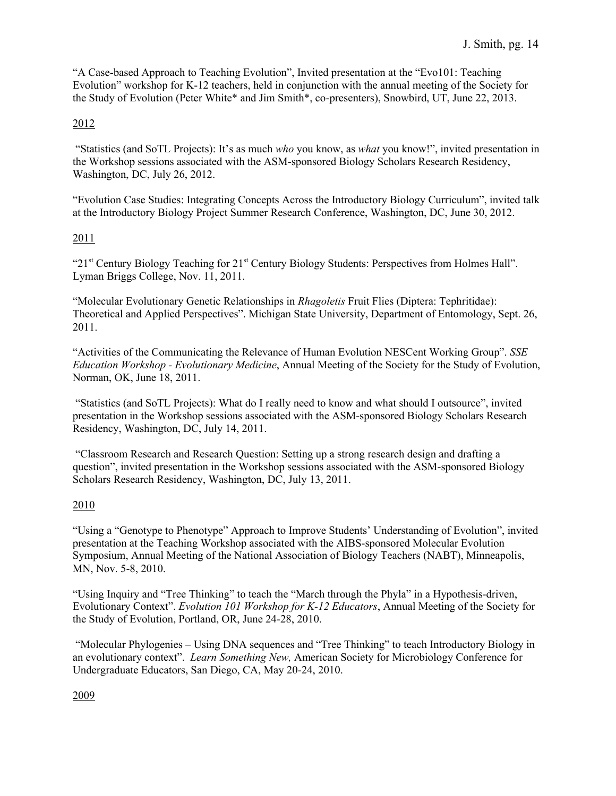"A Case-based Approach to Teaching Evolution", Invited presentation at the "Evo101: Teaching Evolution" workshop for K-12 teachers, held in conjunction with the annual meeting of the Society for the Study of Evolution (Peter White\* and Jim Smith\*, co-presenters), Snowbird, UT, June 22, 2013.

### 2012

"Statistics (and SoTL Projects): It's as much *who* you know, as *what* you know!", invited presentation in the Workshop sessions associated with the ASM-sponsored Biology Scholars Research Residency, Washington, DC, July 26, 2012.

"Evolution Case Studies: Integrating Concepts Across the Introductory Biology Curriculum", invited talk at the Introductory Biology Project Summer Research Conference, Washington, DC, June 30, 2012.

### 2011

"21st Century Biology Teaching for 21st Century Biology Students: Perspectives from Holmes Hall". Lyman Briggs College, Nov. 11, 2011.

"Molecular Evolutionary Genetic Relationships in *Rhagoletis* Fruit Flies (Diptera: Tephritidae): Theoretical and Applied Perspectives". Michigan State University, Department of Entomology, Sept. 26, 2011.

"Activities of the Communicating the Relevance of Human Evolution NESCent Working Group". *SSE Education Workshop - Evolutionary Medicine*, Annual Meeting of the Society for the Study of Evolution, Norman, OK, June 18, 2011.

"Statistics (and SoTL Projects): What do I really need to know and what should I outsource", invited presentation in the Workshop sessions associated with the ASM-sponsored Biology Scholars Research Residency, Washington, DC, July 14, 2011.

"Classroom Research and Research Question: Setting up a strong research design and drafting a question", invited presentation in the Workshop sessions associated with the ASM-sponsored Biology Scholars Research Residency, Washington, DC, July 13, 2011.

## 2010

"Using a "Genotype to Phenotype" Approach to Improve Students' Understanding of Evolution", invited presentation at the Teaching Workshop associated with the AIBS-sponsored Molecular Evolution Symposium, Annual Meeting of the National Association of Biology Teachers (NABT), Minneapolis, MN, Nov. 5-8, 2010.

"Using Inquiry and "Tree Thinking" to teach the "March through the Phyla" in a Hypothesis-driven, Evolutionary Context". *Evolution 101 Workshop for K-12 Educators*, Annual Meeting of the Society for the Study of Evolution, Portland, OR, June 24-28, 2010.

"Molecular Phylogenies – Using DNA sequences and "Tree Thinking" to teach Introductory Biology in an evolutionary context". *Learn Something New,* American Society for Microbiology Conference for Undergraduate Educators, San Diego, CA, May 20-24, 2010.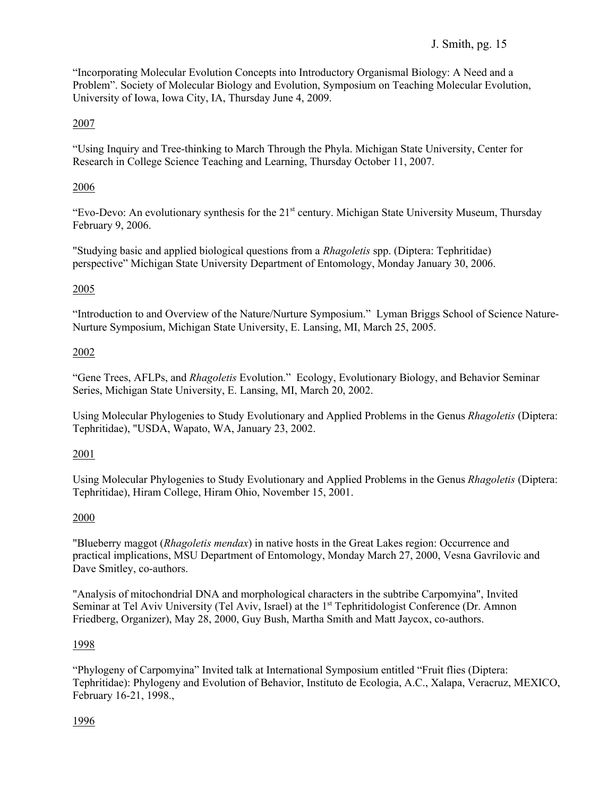"Incorporating Molecular Evolution Concepts into Introductory Organismal Biology: A Need and a Problem". Society of Molecular Biology and Evolution, Symposium on Teaching Molecular Evolution, University of Iowa, Iowa City, IA, Thursday June 4, 2009.

## 2007

"Using Inquiry and Tree-thinking to March Through the Phyla. Michigan State University, Center for Research in College Science Teaching and Learning, Thursday October 11, 2007.

## 2006

"Evo-Devo: An evolutionary synthesis for the  $21<sup>st</sup>$  century. Michigan State University Museum, Thursday February 9, 2006.

"Studying basic and applied biological questions from a *Rhagoletis* spp. (Diptera: Tephritidae) perspective" Michigan State University Department of Entomology, Monday January 30, 2006.

## 2005

"Introduction to and Overview of the Nature/Nurture Symposium." Lyman Briggs School of Science Nature-Nurture Symposium, Michigan State University, E. Lansing, MI, March 25, 2005.

## 2002

"Gene Trees, AFLPs, and *Rhagoletis* Evolution." Ecology, Evolutionary Biology, and Behavior Seminar Series, Michigan State University, E. Lansing, MI, March 20, 2002.

Using Molecular Phylogenies to Study Evolutionary and Applied Problems in the Genus *Rhagoletis* (Diptera: Tephritidae), "USDA, Wapato, WA, January 23, 2002.

## 2001

Using Molecular Phylogenies to Study Evolutionary and Applied Problems in the Genus *Rhagoletis* (Diptera: Tephritidae), Hiram College, Hiram Ohio, November 15, 2001.

## 2000

"Blueberry maggot (*Rhagoletis mendax*) in native hosts in the Great Lakes region: Occurrence and practical implications, MSU Department of Entomology, Monday March 27, 2000, Vesna Gavrilovic and Dave Smitley, co-authors.

"Analysis of mitochondrial DNA and morphological characters in the subtribe Carpomyina", Invited Seminar at Tel Aviv University (Tel Aviv, Israel) at the 1<sup>st</sup> Tephritidologist Conference (Dr. Amnon Friedberg, Organizer), May 28, 2000, Guy Bush, Martha Smith and Matt Jaycox, co-authors.

## 1998

"Phylogeny of Carpomyina" Invited talk at International Symposium entitled "Fruit flies (Diptera: Tephritidae): Phylogeny and Evolution of Behavior, Instituto de Ecologia, A.C., Xalapa, Veracruz, MEXICO, February 16-21, 1998.,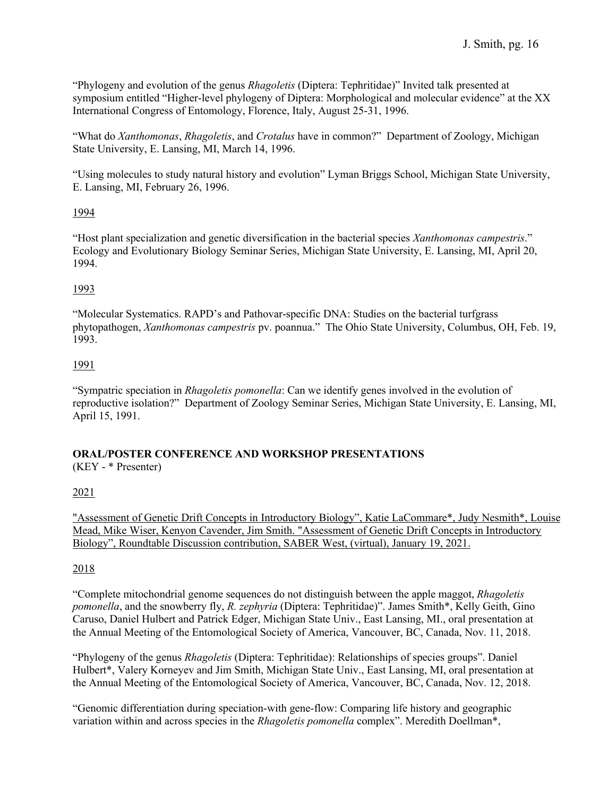"Phylogeny and evolution of the genus *Rhagoletis* (Diptera: Tephritidae)" Invited talk presented at symposium entitled "Higher-level phylogeny of Diptera: Morphological and molecular evidence" at the XX International Congress of Entomology, Florence, Italy, August 25-31, 1996.

"What do *Xanthomonas*, *Rhagoletis*, and *Crotalus* have in common?" Department of Zoology, Michigan State University, E. Lansing, MI, March 14, 1996.

"Using molecules to study natural history and evolution" Lyman Briggs School, Michigan State University, E. Lansing, MI, February 26, 1996.

#### 1994

"Host plant specialization and genetic diversification in the bacterial species *Xanthomonas campestris*." Ecology and Evolutionary Biology Seminar Series, Michigan State University, E. Lansing, MI, April 20, 1994.

### 1993

"Molecular Systematics. RAPD's and Pathovar-specific DNA: Studies on the bacterial turfgrass phytopathogen, *Xanthomonas campestris* pv. poannua." The Ohio State University, Columbus, OH, Feb. 19, 1993.

### 1991

"Sympatric speciation in *Rhagoletis pomonella*: Can we identify genes involved in the evolution of reproductive isolation?" Department of Zoology Seminar Series, Michigan State University, E. Lansing, MI, April 15, 1991.

## **ORAL/POSTER CONFERENCE AND WORKSHOP PRESENTATIONS**

(KEY - \* Presenter)

## 2021

"Assessment of Genetic Drift Concepts in Introductory Biology", Katie LaCommare\*, Judy Nesmith\*, Louise Mead, Mike Wiser, Kenyon Cavender, Jim Smith. "Assessment of Genetic Drift Concepts in Introductory Biology", Roundtable Discussion contribution, SABER West, (virtual), January 19, 2021.

## 2018

"Complete mitochondrial genome sequences do not distinguish between the apple maggot, *Rhagoletis pomonella*, and the snowberry fly, *R. zephyria* (Diptera: Tephritidae)". James Smith\*, Kelly Geith, Gino Caruso, Daniel Hulbert and Patrick Edger, Michigan State Univ., East Lansing, MI., oral presentation at the Annual Meeting of the Entomological Society of America, Vancouver, BC, Canada, Nov. 11, 2018.

"Phylogeny of the genus *Rhagoletis* (Diptera: Tephritidae): Relationships of species groups". Daniel Hulbert\*, Valery Korneyev and Jim Smith, Michigan State Univ., East Lansing, MI, oral presentation at the Annual Meeting of the Entomological Society of America, Vancouver, BC, Canada, Nov. 12, 2018.

"Genomic differentiation during speciation-with gene-flow: Comparing life history and geographic variation within and across species in the *Rhagoletis pomonella* complex". Meredith Doellman\*,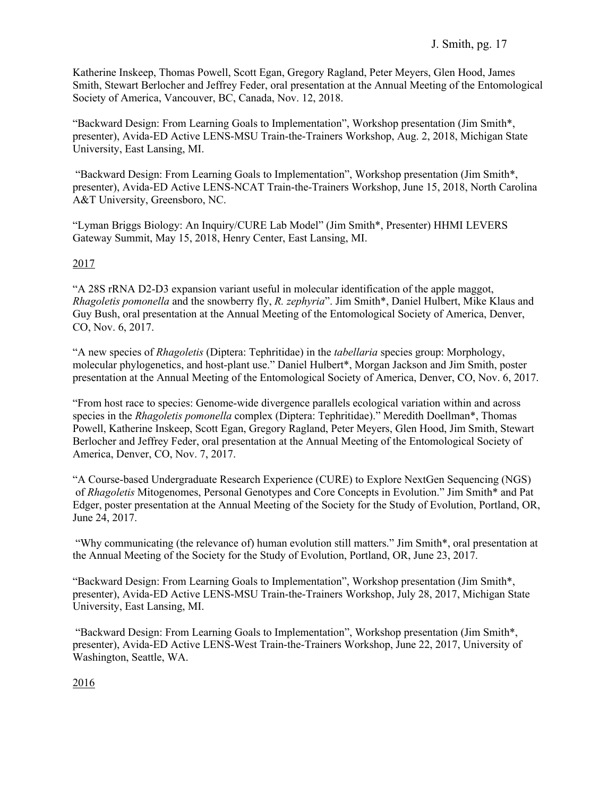Katherine Inskeep, Thomas Powell, Scott Egan, Gregory Ragland, Peter Meyers, Glen Hood, James Smith, Stewart Berlocher and Jeffrey Feder, oral presentation at the Annual Meeting of the Entomological Society of America, Vancouver, BC, Canada, Nov. 12, 2018.

"Backward Design: From Learning Goals to Implementation", Workshop presentation (Jim Smith\*, presenter), Avida-ED Active LENS-MSU Train-the-Trainers Workshop, Aug. 2, 2018, Michigan State University, East Lansing, MI.

"Backward Design: From Learning Goals to Implementation", Workshop presentation (Jim Smith\*, presenter), Avida-ED Active LENS-NCAT Train-the-Trainers Workshop, June 15, 2018, North Carolina A&T University, Greensboro, NC.

"Lyman Briggs Biology: An Inquiry/CURE Lab Model" (Jim Smith\*, Presenter) HHMI LEVERS Gateway Summit, May 15, 2018, Henry Center, East Lansing, MI.

## 2017

"A 28S rRNA D2-D3 expansion variant useful in molecular identification of the apple maggot, *Rhagoletis pomonella* and the snowberry fly, *R. zephyria*". Jim Smith\*, Daniel Hulbert, Mike Klaus and Guy Bush, oral presentation at the Annual Meeting of the Entomological Society of America, Denver, CO, Nov. 6, 2017.

"A new species of *Rhagoletis* (Diptera: Tephritidae) in the *tabellaria* species group: Morphology, molecular phylogenetics, and host-plant use." Daniel Hulbert\*, Morgan Jackson and Jim Smith, poster presentation at the Annual Meeting of the Entomological Society of America, Denver, CO, Nov. 6, 2017.

"From host race to species: Genome-wide divergence parallels ecological variation within and across species in the *Rhagoletis pomonella* complex (Diptera: Tephritidae)." Meredith Doellman\*, Thomas Powell, Katherine Inskeep, Scott Egan, Gregory Ragland, Peter Meyers, Glen Hood, Jim Smith, Stewart Berlocher and Jeffrey Feder, oral presentation at the Annual Meeting of the Entomological Society of America, Denver, CO, Nov. 7, 2017.

"A Course-based Undergraduate Research Experience (CURE) to Explore NextGen Sequencing (NGS) of *Rhagoletis* Mitogenomes, Personal Genotypes and Core Concepts in Evolution." Jim Smith\* and Pat Edger, poster presentation at the Annual Meeting of the Society for the Study of Evolution, Portland, OR, June 24, 2017.

"Why communicating (the relevance of) human evolution still matters." Jim Smith\*, oral presentation at the Annual Meeting of the Society for the Study of Evolution, Portland, OR, June 23, 2017.

"Backward Design: From Learning Goals to Implementation", Workshop presentation (Jim Smith\*, presenter), Avida-ED Active LENS-MSU Train-the-Trainers Workshop, July 28, 2017, Michigan State University, East Lansing, MI.

"Backward Design: From Learning Goals to Implementation", Workshop presentation (Jim Smith\*, presenter), Avida-ED Active LENS-West Train-the-Trainers Workshop, June 22, 2017, University of Washington, Seattle, WA.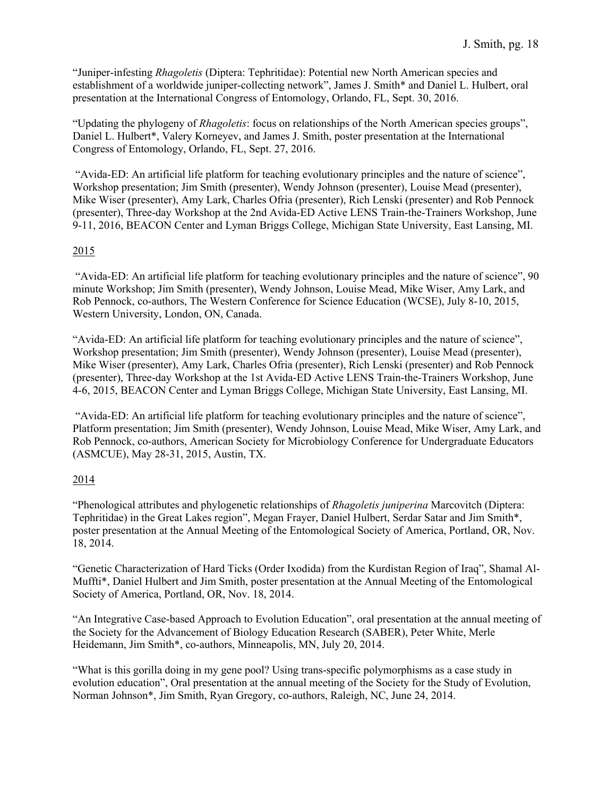"Juniper-infesting *Rhagoletis* (Diptera: Tephritidae): Potential new North American species and establishment of a worldwide juniper-collecting network", James J. Smith\* and Daniel L. Hulbert, oral presentation at the International Congress of Entomology, Orlando, FL, Sept. 30, 2016.

"Updating the phylogeny of *Rhagoletis*: focus on relationships of the North American species groups", Daniel L. Hulbert\*, Valery Korneyev, and James J. Smith, poster presentation at the International Congress of Entomology, Orlando, FL, Sept. 27, 2016.

"Avida-ED: An artificial life platform for teaching evolutionary principles and the nature of science", Workshop presentation; Jim Smith (presenter), Wendy Johnson (presenter), Louise Mead (presenter), Mike Wiser (presenter), Amy Lark, Charles Ofria (presenter), Rich Lenski (presenter) and Rob Pennock (presenter), Three-day Workshop at the 2nd Avida-ED Active LENS Train-the-Trainers Workshop, June 9-11, 2016, BEACON Center and Lyman Briggs College, Michigan State University, East Lansing, MI.

## 2015

"Avida-ED: An artificial life platform for teaching evolutionary principles and the nature of science", 90 minute Workshop; Jim Smith (presenter), Wendy Johnson, Louise Mead, Mike Wiser, Amy Lark, and Rob Pennock, co-authors, The Western Conference for Science Education (WCSE), July 8-10, 2015, Western University, London, ON, Canada.

"Avida-ED: An artificial life platform for teaching evolutionary principles and the nature of science", Workshop presentation; Jim Smith (presenter), Wendy Johnson (presenter), Louise Mead (presenter), Mike Wiser (presenter), Amy Lark, Charles Ofria (presenter), Rich Lenski (presenter) and Rob Pennock (presenter), Three-day Workshop at the 1st Avida-ED Active LENS Train-the-Trainers Workshop, June 4-6, 2015, BEACON Center and Lyman Briggs College, Michigan State University, East Lansing, MI.

"Avida-ED: An artificial life platform for teaching evolutionary principles and the nature of science", Platform presentation; Jim Smith (presenter), Wendy Johnson, Louise Mead, Mike Wiser, Amy Lark, and Rob Pennock, co-authors, American Society for Microbiology Conference for Undergraduate Educators (ASMCUE), May 28-31, 2015, Austin, TX.

## 2014

"Phenological attributes and phylogenetic relationships of *Rhagoletis juniperina* Marcovitch (Diptera: Tephritidae) in the Great Lakes region", Megan Frayer, Daniel Hulbert, Serdar Satar and Jim Smith\*, poster presentation at the Annual Meeting of the Entomological Society of America, Portland, OR, Nov. 18, 2014.

"Genetic Characterization of Hard Ticks (Order Ixodida) from the Kurdistan Region of Iraq", Shamal Al-Muffti\*, Daniel Hulbert and Jim Smith, poster presentation at the Annual Meeting of the Entomological Society of America, Portland, OR, Nov. 18, 2014.

"An Integrative Case-based Approach to Evolution Education", oral presentation at the annual meeting of the Society for the Advancement of Biology Education Research (SABER), Peter White, Merle Heidemann, Jim Smith\*, co-authors, Minneapolis, MN, July 20, 2014.

"What is this gorilla doing in my gene pool? Using trans-specific polymorphisms as a case study in evolution education", Oral presentation at the annual meeting of the Society for the Study of Evolution, Norman Johnson\*, Jim Smith, Ryan Gregory, co-authors, Raleigh, NC, June 24, 2014.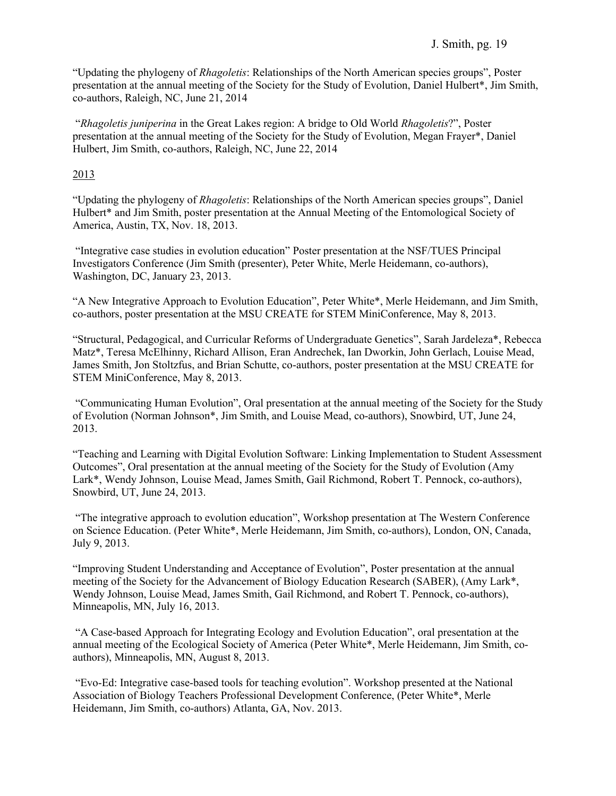### J. Smith, pg. 19

"Updating the phylogeny of *Rhagoletis*: Relationships of the North American species groups", Poster presentation at the annual meeting of the Society for the Study of Evolution, Daniel Hulbert\*, Jim Smith, co-authors, Raleigh, NC, June 21, 2014

"*Rhagoletis juniperina* in the Great Lakes region: A bridge to Old World *Rhagoletis*?", Poster presentation at the annual meeting of the Society for the Study of Evolution, Megan Frayer\*, Daniel Hulbert, Jim Smith, co-authors, Raleigh, NC, June 22, 2014

#### 2013

"Updating the phylogeny of *Rhagoletis*: Relationships of the North American species groups", Daniel Hulbert\* and Jim Smith, poster presentation at the Annual Meeting of the Entomological Society of America, Austin, TX, Nov. 18, 2013.

"Integrative case studies in evolution education" Poster presentation at the NSF/TUES Principal Investigators Conference (Jim Smith (presenter), Peter White, Merle Heidemann, co-authors), Washington, DC, January 23, 2013.

"A New Integrative Approach to Evolution Education", Peter White\*, Merle Heidemann, and Jim Smith, co-authors, poster presentation at the MSU CREATE for STEM MiniConference, May 8, 2013.

"Structural, Pedagogical, and Curricular Reforms of Undergraduate Genetics", Sarah Jardeleza\*, Rebecca Matz\*, Teresa McElhinny, Richard Allison, Eran Andrechek, Ian Dworkin, John Gerlach, Louise Mead, James Smith, Jon Stoltzfus, and Brian Schutte, co-authors, poster presentation at the MSU CREATE for STEM MiniConference, May 8, 2013.

"Communicating Human Evolution", Oral presentation at the annual meeting of the Society for the Study of Evolution (Norman Johnson\*, Jim Smith, and Louise Mead, co-authors), Snowbird, UT, June 24, 2013.

"Teaching and Learning with Digital Evolution Software: Linking Implementation to Student Assessment Outcomes", Oral presentation at the annual meeting of the Society for the Study of Evolution (Amy Lark\*, Wendy Johnson, Louise Mead, James Smith, Gail Richmond, Robert T. Pennock, co-authors), Snowbird, UT, June 24, 2013.

"The integrative approach to evolution education", Workshop presentation at The Western Conference on Science Education. (Peter White\*, Merle Heidemann, Jim Smith, co-authors), London, ON, Canada, July 9, 2013.

"Improving Student Understanding and Acceptance of Evolution", Poster presentation at the annual meeting of the Society for the Advancement of Biology Education Research (SABER), (Amy Lark\*, Wendy Johnson, Louise Mead, James Smith, Gail Richmond, and Robert T. Pennock, co-authors), Minneapolis, MN, July 16, 2013.

"A Case-based Approach for Integrating Ecology and Evolution Education", oral presentation at the annual meeting of the Ecological Society of America (Peter White\*, Merle Heidemann, Jim Smith, coauthors), Minneapolis, MN, August 8, 2013.

"Evo-Ed: Integrative case-based tools for teaching evolution". Workshop presented at the National Association of Biology Teachers Professional Development Conference, (Peter White\*, Merle Heidemann, Jim Smith, co-authors) Atlanta, GA, Nov. 2013.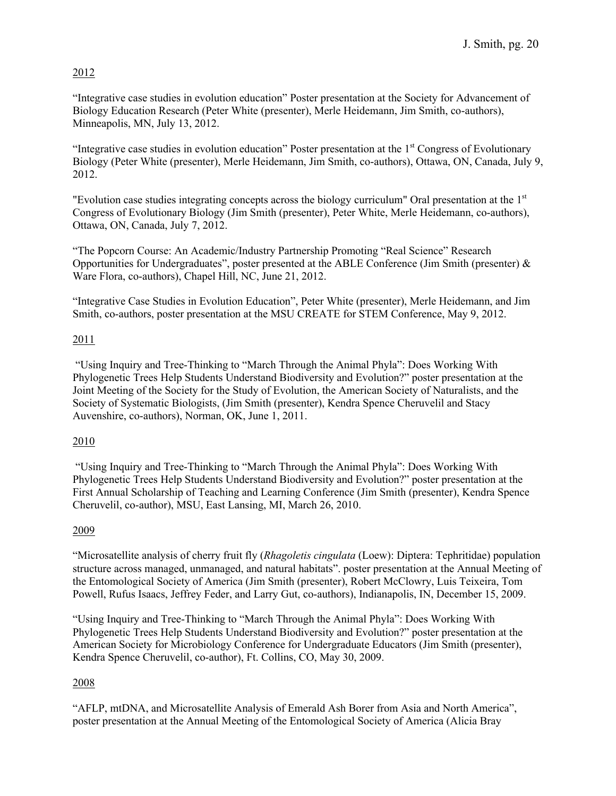## 2012

"Integrative case studies in evolution education" Poster presentation at the Society for Advancement of Biology Education Research (Peter White (presenter), Merle Heidemann, Jim Smith, co-authors), Minneapolis, MN, July 13, 2012.

"Integrative case studies in evolution education" Poster presentation at the 1<sup>st</sup> Congress of Evolutionary Biology (Peter White (presenter), Merle Heidemann, Jim Smith, co-authors), Ottawa, ON, Canada, July 9, 2012.

"Evolution case studies integrating concepts across the biology curriculum" Oral presentation at the 1st Congress of Evolutionary Biology (Jim Smith (presenter), Peter White, Merle Heidemann, co-authors), Ottawa, ON, Canada, July 7, 2012.

"The Popcorn Course: An Academic/Industry Partnership Promoting "Real Science" Research Opportunities for Undergraduates", poster presented at the ABLE Conference (Jim Smith (presenter)  $\&$ Ware Flora, co-authors), Chapel Hill, NC, June 21, 2012.

"Integrative Case Studies in Evolution Education", Peter White (presenter), Merle Heidemann, and Jim Smith, co-authors, poster presentation at the MSU CREATE for STEM Conference, May 9, 2012.

## 2011

"Using Inquiry and Tree-Thinking to "March Through the Animal Phyla": Does Working With Phylogenetic Trees Help Students Understand Biodiversity and Evolution?" poster presentation at the Joint Meeting of the Society for the Study of Evolution, the American Society of Naturalists, and the Society of Systematic Biologists, (Jim Smith (presenter), Kendra Spence Cheruvelil and Stacy Auvenshire, co-authors), Norman, OK, June 1, 2011.

## 2010

"Using Inquiry and Tree-Thinking to "March Through the Animal Phyla": Does Working With Phylogenetic Trees Help Students Understand Biodiversity and Evolution?" poster presentation at the First Annual Scholarship of Teaching and Learning Conference (Jim Smith (presenter), Kendra Spence Cheruvelil, co-author), MSU, East Lansing, MI, March 26, 2010.

## 2009

"Microsatellite analysis of cherry fruit fly (*Rhagoletis cingulata* (Loew): Diptera: Tephritidae) population structure across managed, unmanaged, and natural habitats". poster presentation at the Annual Meeting of the Entomological Society of America (Jim Smith (presenter), Robert McClowry, Luis Teixeira, Tom Powell, Rufus Isaacs, Jeffrey Feder, and Larry Gut, co-authors), Indianapolis, IN, December 15, 2009.

"Using Inquiry and Tree-Thinking to "March Through the Animal Phyla": Does Working With Phylogenetic Trees Help Students Understand Biodiversity and Evolution?" poster presentation at the American Society for Microbiology Conference for Undergraduate Educators (Jim Smith (presenter), Kendra Spence Cheruvelil, co-author), Ft. Collins, CO, May 30, 2009.

## 2008

"AFLP, mtDNA, and Microsatellite Analysis of Emerald Ash Borer from Asia and North America", poster presentation at the Annual Meeting of the Entomological Society of America (Alicia Bray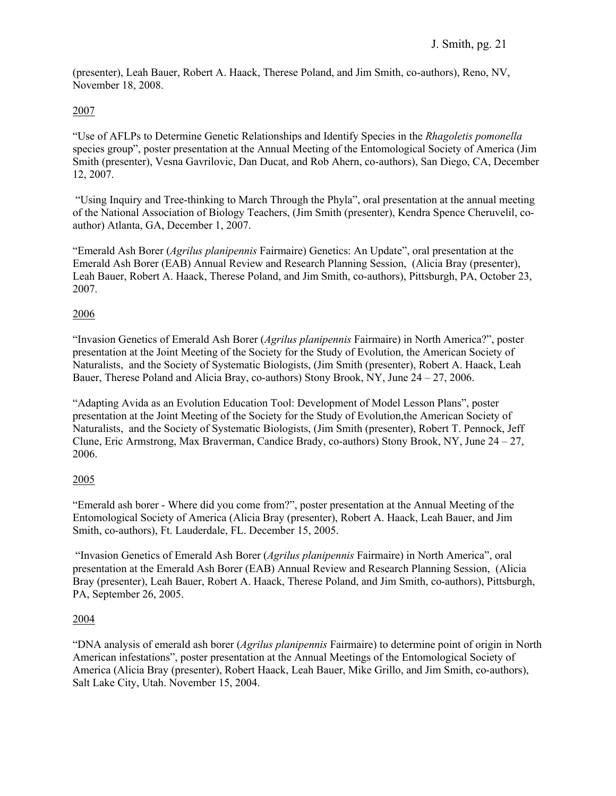(presenter), Leah Bauer, Robert A. Haack, Therese Poland, and Jim Smith, co-authors), Reno, NV, November 18, 2008.

#### 2007

"Use of AFLPs to Determine Genetic Relationships and Identify Species in the *Rhagoletis pomonella* species group", poster presentation at the Annual Meeting of the Entomological Society of America (Jim Smith (presenter), Vesna Gavrilovic, Dan Ducat, and Rob Ahern, co-authors), San Diego, CA, December 12, 2007.

"Using Inquiry and Tree-thinking to March Through the Phyla", oral presentation at the annual meeting of the National Association of Biology Teachers, (Jim Smith (presenter), Kendra Spence Cheruvelil, coauthor) Atlanta, GA, December 1, 2007.

"Emerald Ash Borer (*Agrilus planipennis* Fairmaire) Genetics: An Update", oral presentation at the Emerald Ash Borer (EAB) Annual Review and Research Planning Session, (Alicia Bray (presenter), Leah Bauer, Robert A. Haack, Therese Poland, and Jim Smith, co-authors), Pittsburgh, PA, October 23, 2007.

#### 2006

"Invasion Genetics of Emerald Ash Borer (*Agrilus planipennis* Fairmaire) in North America?", poster presentation at the Joint Meeting of the Society for the Study of Evolution, the American Society of Naturalists, and the Society of Systematic Biologists, (Jim Smith (presenter), Robert A. Haack, Leah Bauer, Therese Poland and Alicia Bray, co-authors) Stony Brook, NY, June  $24 - 27$ , 2006.

"Adapting Avida as an Evolution Education Tool: Development of Model Lesson Plans", poster presentation at the Joint Meeting of the Society for the Study of Evolution,the American Society of Naturalists, and the Society of Systematic Biologists, (Jim Smith (presenter), Robert T. Pennock, Jeff Clune, Eric Armstrong, Max Braverman, Candice Brady, co-authors) Stony Brook, NY, June 24 – 27, 2006.

#### 2005

"Emerald ash borer - Where did you come from?", poster presentation at the Annual Meeting of the Entomological Society of America (Alicia Bray (presenter), Robert A. Haack, Leah Bauer, and Jim Smith, co-authors), Ft. Lauderdale, FL. December 15, 2005.

"Invasion Genetics of Emerald Ash Borer (*Agrilus planipennis* Fairmaire) in North America", oral presentation at the Emerald Ash Borer (EAB) Annual Review and Research Planning Session, (Alicia Bray (presenter), Leah Bauer, Robert A. Haack, Therese Poland, and Jim Smith, co-authors), Pittsburgh, PA, September 26, 2005.

## 2004

"DNA analysis of emerald ash borer (*Agrilus planipennis* Fairmaire) to determine point of origin in North American infestations", poster presentation at the Annual Meetings of the Entomological Society of America (Alicia Bray (presenter), Robert Haack, Leah Bauer, Mike Grillo, and Jim Smith, co-authors), Salt Lake City, Utah. November 15, 2004.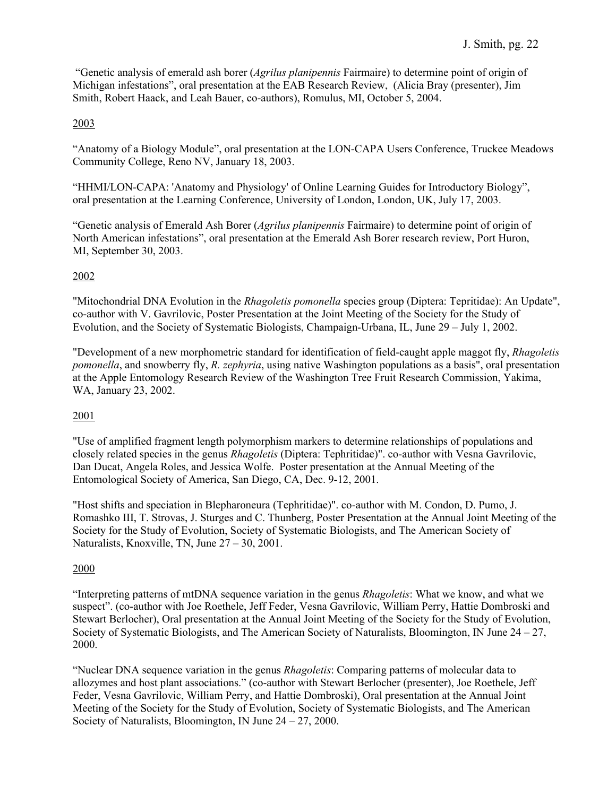"Genetic analysis of emerald ash borer (*Agrilus planipennis* Fairmaire) to determine point of origin of Michigan infestations", oral presentation at the EAB Research Review, (Alicia Bray (presenter), Jim Smith, Robert Haack, and Leah Bauer, co-authors), Romulus, MI, October 5, 2004.

## 2003

"Anatomy of a Biology Module", oral presentation at the LON-CAPA Users Conference, Truckee Meadows Community College, Reno NV, January 18, 2003.

"HHMI/LON-CAPA: 'Anatomy and Physiology' of Online Learning Guides for Introductory Biology", oral presentation at the Learning Conference, University of London, London, UK, July 17, 2003.

"Genetic analysis of Emerald Ash Borer (*Agrilus planipennis* Fairmaire) to determine point of origin of North American infestations", oral presentation at the Emerald Ash Borer research review, Port Huron, MI, September 30, 2003.

## 2002

"Mitochondrial DNA Evolution in the *Rhagoletis pomonella* species group (Diptera: Tepritidae): An Update", co-author with V. Gavrilovic, Poster Presentation at the Joint Meeting of the Society for the Study of Evolution, and the Society of Systematic Biologists, Champaign-Urbana, IL, June 29 – July 1, 2002.

"Development of a new morphometric standard for identification of field-caught apple maggot fly, *Rhagoletis pomonella*, and snowberry fly, *R. zephyria*, using native Washington populations as a basis", oral presentation at the Apple Entomology Research Review of the Washington Tree Fruit Research Commission, Yakima, WA, January 23, 2002.

## 2001

"Use of amplified fragment length polymorphism markers to determine relationships of populations and closely related species in the genus *Rhagoletis* (Diptera: Tephritidae)". co-author with Vesna Gavrilovic, Dan Ducat, Angela Roles, and Jessica Wolfe. Poster presentation at the Annual Meeting of the Entomological Society of America, San Diego, CA, Dec. 9-12, 2001.

"Host shifts and speciation in Blepharoneura (Tephritidae)". co-author with M. Condon, D. Pumo, J. Romashko III, T. Strovas, J. Sturges and C. Thunberg, Poster Presentation at the Annual Joint Meeting of the Society for the Study of Evolution, Society of Systematic Biologists, and The American Society of Naturalists, Knoxville, TN, June 27 – 30, 2001.

## 2000

"Interpreting patterns of mtDNA sequence variation in the genus *Rhagoletis*: What we know, and what we suspect". (co-author with Joe Roethele, Jeff Feder, Vesna Gavrilovic, William Perry, Hattie Dombroski and Stewart Berlocher), Oral presentation at the Annual Joint Meeting of the Society for the Study of Evolution, Society of Systematic Biologists, and The American Society of Naturalists, Bloomington, IN June 24 – 27, 2000.

"Nuclear DNA sequence variation in the genus *Rhagoletis*: Comparing patterns of molecular data to allozymes and host plant associations." (co-author with Stewart Berlocher (presenter), Joe Roethele, Jeff Feder, Vesna Gavrilovic, William Perry, and Hattie Dombroski), Oral presentation at the Annual Joint Meeting of the Society for the Study of Evolution, Society of Systematic Biologists, and The American Society of Naturalists, Bloomington, IN June 24 – 27, 2000.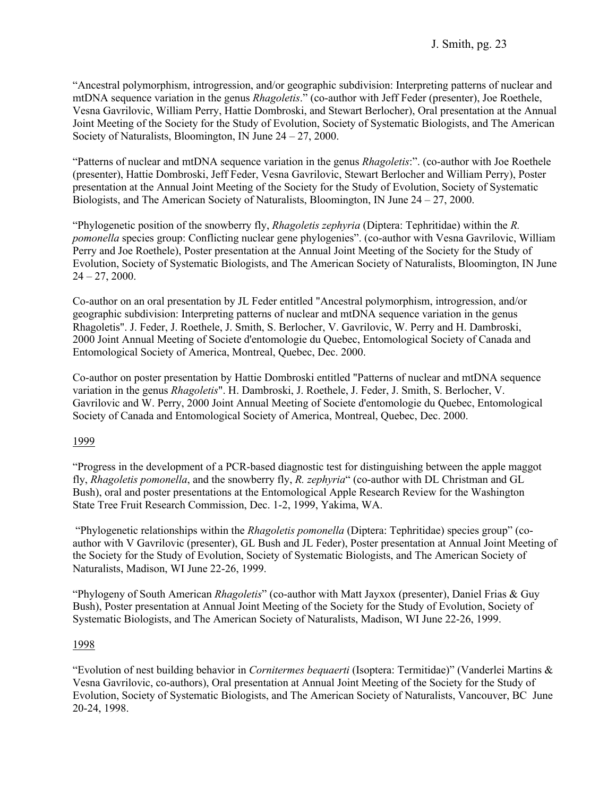"Ancestral polymorphism, introgression, and/or geographic subdivision: Interpreting patterns of nuclear and mtDNA sequence variation in the genus *Rhagoletis*." (co-author with Jeff Feder (presenter), Joe Roethele, Vesna Gavrilovic, William Perry, Hattie Dombroski, and Stewart Berlocher), Oral presentation at the Annual Joint Meeting of the Society for the Study of Evolution, Society of Systematic Biologists, and The American Society of Naturalists, Bloomington, IN June 24 – 27, 2000.

"Patterns of nuclear and mtDNA sequence variation in the genus *Rhagoletis*:". (co-author with Joe Roethele (presenter), Hattie Dombroski, Jeff Feder, Vesna Gavrilovic, Stewart Berlocher and William Perry), Poster presentation at the Annual Joint Meeting of the Society for the Study of Evolution, Society of Systematic Biologists, and The American Society of Naturalists, Bloomington, IN June  $24 - 27$ , 2000.

"Phylogenetic position of the snowberry fly, *Rhagoletis zephyria* (Diptera: Tephritidae) within the *R. pomonella* species group: Conflicting nuclear gene phylogenies". (co-author with Vesna Gavrilovic, William Perry and Joe Roethele), Poster presentation at the Annual Joint Meeting of the Society for the Study of Evolution, Society of Systematic Biologists, and The American Society of Naturalists, Bloomington, IN June  $24 - 27, 2000.$ 

Co-author on an oral presentation by JL Feder entitled "Ancestral polymorphism, introgression, and/or geographic subdivision: Interpreting patterns of nuclear and mtDNA sequence variation in the genus Rhagoletis". J. Feder, J. Roethele, J. Smith, S. Berlocher, V. Gavrilovic, W. Perry and H. Dambroski, 2000 Joint Annual Meeting of Societe d'entomologie du Quebec, Entomological Society of Canada and Entomological Society of America, Montreal, Quebec, Dec. 2000.

Co-author on poster presentation by Hattie Dombroski entitled "Patterns of nuclear and mtDNA sequence variation in the genus *Rhagoletis*". H. Dambroski, J. Roethele, J. Feder, J. Smith, S. Berlocher, V. Gavrilovic and W. Perry, 2000 Joint Annual Meeting of Societe d'entomologie du Quebec, Entomological Society of Canada and Entomological Society of America, Montreal, Quebec, Dec. 2000.

#### 1999

"Progress in the development of a PCR-based diagnostic test for distinguishing between the apple maggot fly, *Rhagoletis pomonella*, and the snowberry fly, *R. zephyria*" (co-author with DL Christman and GL Bush), oral and poster presentations at the Entomological Apple Research Review for the Washington State Tree Fruit Research Commission, Dec. 1-2, 1999, Yakima, WA.

"Phylogenetic relationships within the *Rhagoletis pomonella* (Diptera: Tephritidae) species group" (coauthor with V Gavrilovic (presenter), GL Bush and JL Feder), Poster presentation at Annual Joint Meeting of the Society for the Study of Evolution, Society of Systematic Biologists, and The American Society of Naturalists, Madison, WI June 22-26, 1999.

"Phylogeny of South American *Rhagoletis*" (co-author with Matt Jayxox (presenter), Daniel Frias & Guy Bush), Poster presentation at Annual Joint Meeting of the Society for the Study of Evolution, Society of Systematic Biologists, and The American Society of Naturalists, Madison, WI June 22-26, 1999.

#### 1998

"Evolution of nest building behavior in *Cornitermes bequaerti* (Isoptera: Termitidae)" (Vanderlei Martins & Vesna Gavrilovic, co-authors), Oral presentation at Annual Joint Meeting of the Society for the Study of Evolution, Society of Systematic Biologists, and The American Society of Naturalists, Vancouver, BC June 20-24, 1998.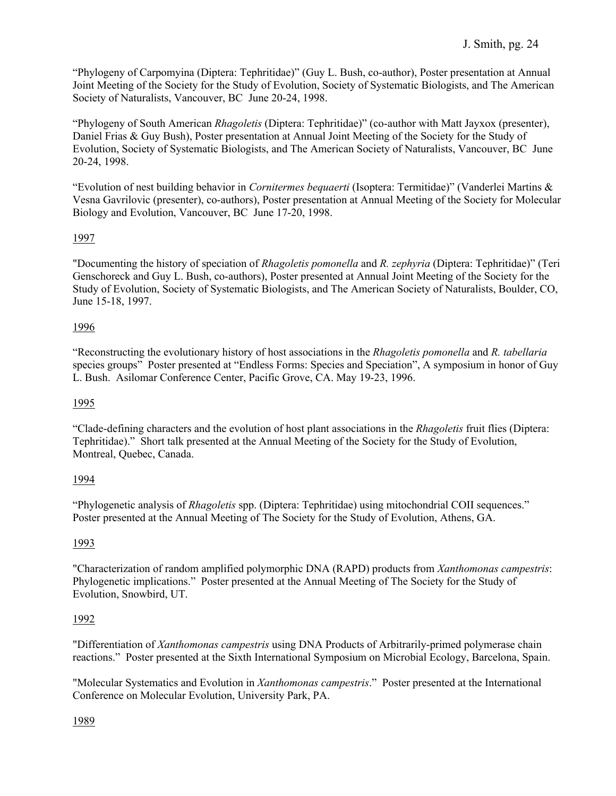"Phylogeny of Carpomyina (Diptera: Tephritidae)" (Guy L. Bush, co-author), Poster presentation at Annual Joint Meeting of the Society for the Study of Evolution, Society of Systematic Biologists, and The American Society of Naturalists, Vancouver, BC June 20-24, 1998.

"Phylogeny of South American *Rhagoletis* (Diptera: Tephritidae)" (co-author with Matt Jayxox (presenter), Daniel Frias & Guy Bush), Poster presentation at Annual Joint Meeting of the Society for the Study of Evolution, Society of Systematic Biologists, and The American Society of Naturalists, Vancouver, BC June 20-24, 1998.

"Evolution of nest building behavior in *Cornitermes bequaerti* (Isoptera: Termitidae)" (Vanderlei Martins & Vesna Gavrilovic (presenter), co-authors), Poster presentation at Annual Meeting of the Society for Molecular Biology and Evolution, Vancouver, BC June 17-20, 1998.

## 1997

"Documenting the history of speciation of *Rhagoletis pomonella* and *R. zephyria* (Diptera: Tephritidae)" (Teri Genschoreck and Guy L. Bush, co-authors), Poster presented at Annual Joint Meeting of the Society for the Study of Evolution, Society of Systematic Biologists, and The American Society of Naturalists, Boulder, CO, June 15-18, 1997.

## 1996

"Reconstructing the evolutionary history of host associations in the *Rhagoletis pomonella* and *R. tabellaria* species groups" Poster presented at "Endless Forms: Species and Speciation", A symposium in honor of Guy L. Bush. Asilomar Conference Center, Pacific Grove, CA. May 19-23, 1996.

## 1995

"Clade-defining characters and the evolution of host plant associations in the *Rhagoletis* fruit flies (Diptera: Tephritidae)." Short talk presented at the Annual Meeting of the Society for the Study of Evolution, Montreal, Quebec, Canada.

## 1994

"Phylogenetic analysis of *Rhagoletis* spp. (Diptera: Tephritidae) using mitochondrial COII sequences." Poster presented at the Annual Meeting of The Society for the Study of Evolution, Athens, GA.

## 1993

"Characterization of random amplified polymorphic DNA (RAPD) products from *Xanthomonas campestris*: Phylogenetic implications." Poster presented at the Annual Meeting of The Society for the Study of Evolution, Snowbird, UT.

## 1992

"Differentiation of *Xanthomonas campestris* using DNA Products of Arbitrarily-primed polymerase chain reactions." Poster presented at the Sixth International Symposium on Microbial Ecology, Barcelona, Spain.

"Molecular Systematics and Evolution in *Xanthomonas campestris*." Poster presented at the International Conference on Molecular Evolution, University Park, PA.